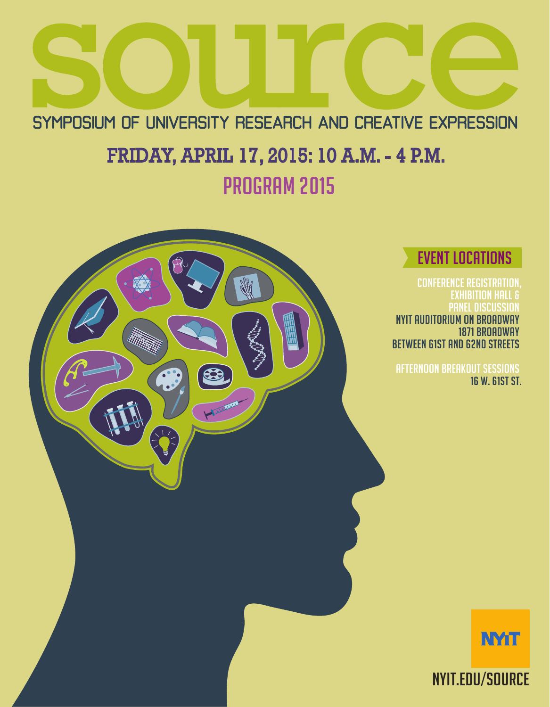

# EVENT LOCATIONS

CONFERENCE REGISTRATION, exhibition hall & PANEL DISCUSSION NYIT AUDITORIUM ON BROADWAY 1871 BROADWAY BETWEEN 61ST AND 62ND STREETS

AFTERNOON BREAKOUT SESSIONS 16 W. 61ST ST.



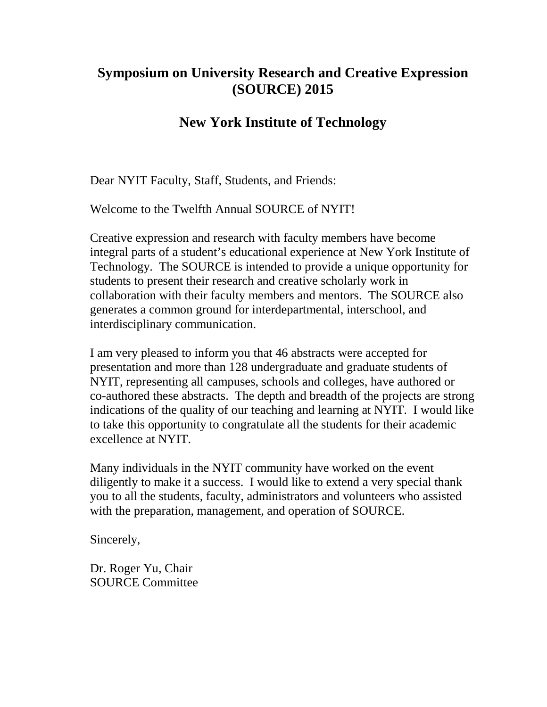## **Symposium on University Research and Creative Expression (SOURCE) 2015**

## **New York Institute of Technology**

Dear NYIT Faculty, Staff, Students, and Friends:

Welcome to the Twelfth Annual SOURCE of NYIT!

Creative expression and research with faculty members have become integral parts of a student's educational experience at New York Institute of Technology. The SOURCE is intended to provide a unique opportunity for students to present their research and creative scholarly work in collaboration with their faculty members and mentors. The SOURCE also generates a common ground for interdepartmental, interschool, and interdisciplinary communication.

I am very pleased to inform you that 46 abstracts were accepted for presentation and more than 128 undergraduate and graduate students of NYIT, representing all campuses, schools and colleges, have authored or co-authored these abstracts. The depth and breadth of the projects are strong indications of the quality of our teaching and learning at NYIT. I would like to take this opportunity to congratulate all the students for their academic excellence at NYIT.

Many individuals in the NYIT community have worked on the event diligently to make it a success. I would like to extend a very special thank you to all the students, faculty, administrators and volunteers who assisted with the preparation, management, and operation of SOURCE.

Sincerely,

Dr. Roger Yu, Chair SOURCE Committee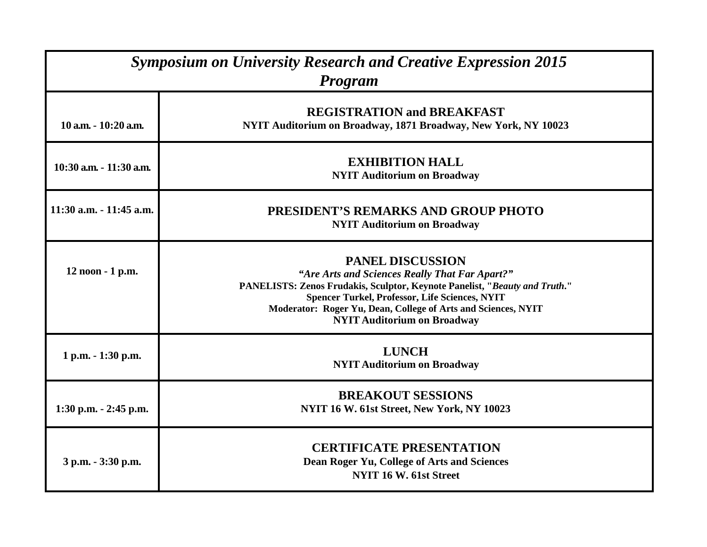| <b>Symposium on University Research and Creative Expression 2015</b><br><b>Program</b> |                                                                                                                                                                                                                                                                                                                         |  |
|----------------------------------------------------------------------------------------|-------------------------------------------------------------------------------------------------------------------------------------------------------------------------------------------------------------------------------------------------------------------------------------------------------------------------|--|
| 10 a.m. - 10:20 a.m.                                                                   | <b>REGISTRATION and BREAKFAST</b><br>NYIT Auditorium on Broadway, 1871 Broadway, New York, NY 10023                                                                                                                                                                                                                     |  |
| 10:30 a.m. - 11:30 a.m.                                                                | <b>EXHIBITION HALL</b><br><b>NYIT Auditorium on Broadway</b>                                                                                                                                                                                                                                                            |  |
| 11:30 a.m. - 11:45 a.m.                                                                | PRESIDENT'S REMARKS AND GROUP PHOTO<br><b>NYIT Auditorium on Broadway</b>                                                                                                                                                                                                                                               |  |
| 12 noon - 1 p.m.                                                                       | <b>PANEL DISCUSSION</b><br>"Are Arts and Sciences Really That Far Apart?"<br>PANELISTS: Zenos Frudakis, Sculptor, Keynote Panelist, "Beauty and Truth."<br><b>Spencer Turkel, Professor, Life Sciences, NYIT</b><br>Moderator: Roger Yu, Dean, College of Arts and Sciences, NYIT<br><b>NYIT Auditorium on Broadway</b> |  |
| 1 p.m. - 1:30 p.m.                                                                     | <b>LUNCH</b><br><b>NYIT Auditorium on Broadway</b>                                                                                                                                                                                                                                                                      |  |
| $1:30$ p.m. $-2:45$ p.m.                                                               | <b>BREAKOUT SESSIONS</b><br>NYIT 16 W. 61st Street, New York, NY 10023                                                                                                                                                                                                                                                  |  |
| 3 p.m. - 3:30 p.m.                                                                     | <b>CERTIFICATE PRESENTATION</b><br>Dean Roger Yu, College of Arts and Sciences<br>NYIT 16 W. 61st Street                                                                                                                                                                                                                |  |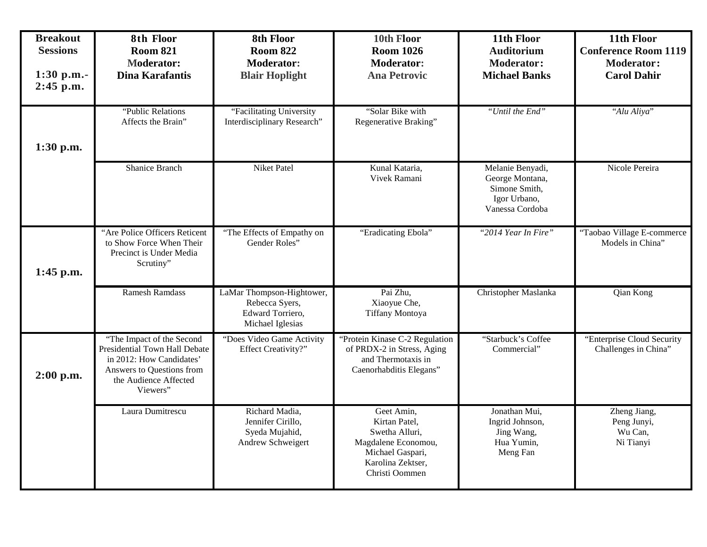| <b>Breakout</b><br><b>Sessions</b><br>1:30 p.m.-<br>$2:45$ p.m. | 8th Floor<br><b>Room 821</b><br><b>Moderator:</b><br><b>Dina Karafantis</b>                                                                              | 8th Floor<br><b>Room 822</b><br><b>Moderator:</b><br><b>Blair Hoplight</b>          | 10th Floor<br><b>Room 1026</b><br><b>Moderator:</b><br><b>Ana Petrovic</b>                                                      | 11th Floor<br><b>Auditorium</b><br><b>Moderator:</b><br><b>Michael Banks</b>            | 11th Floor<br><b>Conference Room 1119</b><br><b>Moderator:</b><br><b>Carol Dahir</b> |
|-----------------------------------------------------------------|----------------------------------------------------------------------------------------------------------------------------------------------------------|-------------------------------------------------------------------------------------|---------------------------------------------------------------------------------------------------------------------------------|-----------------------------------------------------------------------------------------|--------------------------------------------------------------------------------------|
| 1:30 p.m.                                                       | "Public Relations<br>Affects the Brain"                                                                                                                  | "Facilitating University<br>Interdisciplinary Research"                             | "Solar Bike with<br>Regenerative Braking"                                                                                       | "Until the End"                                                                         | "Alu Aliya"                                                                          |
|                                                                 | <b>Shanice Branch</b>                                                                                                                                    | <b>Niket Patel</b>                                                                  | Kunal Kataria,<br>Vivek Ramani                                                                                                  | Melanie Benyadi,<br>George Montana,<br>Simone Smith,<br>Igor Urbano,<br>Vanessa Cordoba | Nicole Pereira                                                                       |
| 1:45 p.m.                                                       | "Are Police Officers Reticent<br>to Show Force When Their<br>Precinct is Under Media<br>Scrutiny"                                                        | "The Effects of Empathy on<br>Gender Roles"                                         | "Eradicating Ebola"                                                                                                             | "2014 Year In Fire"                                                                     | "Taobao Village E-commerce<br>Models in China"                                       |
|                                                                 | <b>Ramesh Ramdass</b>                                                                                                                                    | LaMar Thompson-Hightower,<br>Rebecca Syers,<br>Edward Torriero,<br>Michael Iglesias | Pai Zhu,<br>Xiaoyue Che,<br>Tiffany Montoya                                                                                     | Christopher Maslanka                                                                    | Qian Kong                                                                            |
| $2:00$ p.m.                                                     | "The Impact of the Second<br>Presidential Town Hall Debate<br>in 2012: How Candidates'<br>Answers to Questions from<br>the Audience Affected<br>Viewers" | "Does Video Game Activity<br>Effect Creativity?"                                    | "Protein Kinase C-2 Regulation<br>of PRDX-2 in Stress, Aging<br>and Thermotaxis in<br>Caenorhabditis Elegans"                   | "Starbuck's Coffee<br>Commercial"                                                       | "Enterprise Cloud Security<br>Challenges in China"                                   |
|                                                                 | Laura Dumitrescu                                                                                                                                         | Richard Madia,<br>Jennifer Cirillo,<br>Syeda Mujahid,<br>Andrew Schweigert          | Geet Amin,<br>Kirtan Patel,<br>Swetha Alluri,<br>Magdalene Economou,<br>Michael Gaspari,<br>Karolina Zektser,<br>Christi Oommen | Jonathan Mui,<br>Ingrid Johnson,<br>Jing Wang,<br>Hua Yumin,<br>Meng Fan                | Zheng Jiang,<br>Peng Junyi,<br>Wu Can,<br>Ni Tianyi                                  |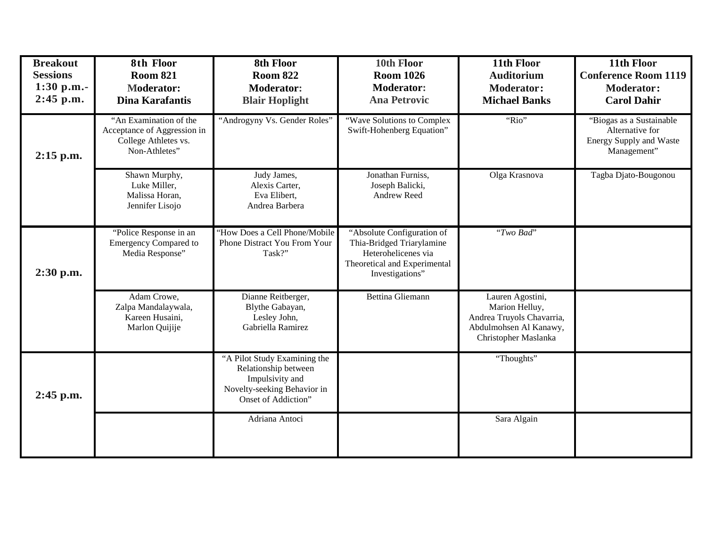| <b>Breakout</b><br><b>Sessions</b><br>$1:30$ p.m.-<br>$2:45$ p.m. | 8th Floor<br><b>Room 821</b><br><b>Moderator:</b><br><b>Dina Karafantis</b>                    | 8th Floor<br><b>Room 822</b><br><b>Moderator:</b><br><b>Blair Hoplight</b>                                                    | 10th Floor<br><b>Room 1026</b><br><b>Moderator:</b><br><b>Ana Petrovic</b>                                                        | 11th Floor<br><b>Auditorium</b><br><b>Moderator:</b><br><b>Michael Banks</b>                                      | 11th Floor<br><b>Conference Room 1119</b><br><b>Moderator:</b><br><b>Carol Dahir</b>         |
|-------------------------------------------------------------------|------------------------------------------------------------------------------------------------|-------------------------------------------------------------------------------------------------------------------------------|-----------------------------------------------------------------------------------------------------------------------------------|-------------------------------------------------------------------------------------------------------------------|----------------------------------------------------------------------------------------------|
| $2:15$ p.m.                                                       | "An Examination of the<br>Acceptance of Aggression in<br>College Athletes vs.<br>Non-Athletes" | "Androgyny Vs. Gender Roles"                                                                                                  | "Wave Solutions to Complex<br>Swift-Hohenberg Equation"                                                                           | "Rio"                                                                                                             | "Biogas as a Sustainable<br>Alternative for<br><b>Energy Supply and Waste</b><br>Management" |
|                                                                   | Shawn Murphy,<br>Luke Miller,<br>Malissa Horan,<br>Jennifer Lisojo                             | Judy James,<br>Alexis Carter,<br>Eva Elibert,<br>Andrea Barbera                                                               | Jonathan Furniss,<br>Joseph Balicki,<br>Andrew Reed                                                                               | Olga Krasnova                                                                                                     | Tagba Djato-Bougonou                                                                         |
| 2:30 p.m.                                                         | "Police Response in an<br><b>Emergency Compared to</b><br>Media Response"                      | 'How Does a Cell Phone/Mobile<br>Phone Distract You From Your<br>Task?"                                                       | "Absolute Configuration of<br>Thia-Bridged Triarylamine<br>Heterohelicenes via<br>Theoretical and Experimental<br>Investigations" | "Two Bad"                                                                                                         |                                                                                              |
|                                                                   | Adam Crowe,<br>Zalpa Mandalaywala,<br>Kareen Husaini,<br>Marlon Quijije                        | Dianne Reitberger,<br>Blythe Gabayan,<br>Lesley John,<br>Gabriella Ramirez                                                    | <b>Bettina Gliemann</b>                                                                                                           | Lauren Agostini,<br>Marion Helluy,<br>Andrea Truyols Chavarria,<br>Abdulmohsen Al Kanawy,<br>Christopher Maslanka |                                                                                              |
| 2:45 p.m.                                                         |                                                                                                | "A Pilot Study Examining the<br>Relationship between<br>Impulsivity and<br>Novelty-seeking Behavior in<br>Onset of Addiction" |                                                                                                                                   | "Thoughts"                                                                                                        |                                                                                              |
|                                                                   |                                                                                                | Adriana Antoci                                                                                                                |                                                                                                                                   | Sara Algain                                                                                                       |                                                                                              |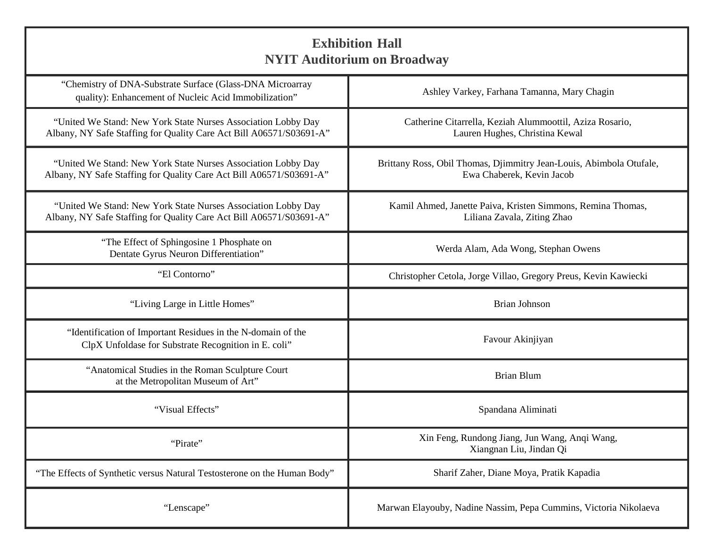| <b>Exhibition Hall</b><br><b>NYIT Auditorium on Broadway</b>                                                                         |                                                                                                  |  |
|--------------------------------------------------------------------------------------------------------------------------------------|--------------------------------------------------------------------------------------------------|--|
| "Chemistry of DNA-Substrate Surface (Glass-DNA Microarray<br>quality): Enhancement of Nucleic Acid Immobilization"                   | Ashley Varkey, Farhana Tamanna, Mary Chagin                                                      |  |
| "United We Stand: New York State Nurses Association Lobby Day<br>Albany, NY Safe Staffing for Quality Care Act Bill A06571/S03691-A" | Catherine Citarrella, Keziah Alummoottil, Aziza Rosario,<br>Lauren Hughes, Christina Kewal       |  |
| "United We Stand: New York State Nurses Association Lobby Day<br>Albany, NY Safe Staffing for Quality Care Act Bill A06571/S03691-A" | Brittany Ross, Obil Thomas, Djimmitry Jean-Louis, Abimbola Otufale,<br>Ewa Chaberek, Kevin Jacob |  |
| "United We Stand: New York State Nurses Association Lobby Day<br>Albany, NY Safe Staffing for Quality Care Act Bill A06571/S03691-A" | Kamil Ahmed, Janette Paiva, Kristen Simmons, Remina Thomas,<br>Liliana Zavala, Ziting Zhao       |  |
| "The Effect of Sphingosine 1 Phosphate on<br>Dentate Gyrus Neuron Differentiation"                                                   | Werda Alam, Ada Wong, Stephan Owens                                                              |  |
| "El Contorno"                                                                                                                        | Christopher Cetola, Jorge Villao, Gregory Preus, Kevin Kawiecki                                  |  |
| "Living Large in Little Homes"                                                                                                       | <b>Brian Johnson</b>                                                                             |  |
| "Identification of Important Residues in the N-domain of the<br>ClpX Unfoldase for Substrate Recognition in E. coli"                 | Favour Akinjiyan                                                                                 |  |
| "Anatomical Studies in the Roman Sculpture Court<br>at the Metropolitan Museum of Art"                                               | <b>Brian Blum</b>                                                                                |  |
| "Visual Effects"                                                                                                                     | Spandana Aliminati                                                                               |  |
| "Pirate"                                                                                                                             | Xin Feng, Rundong Jiang, Jun Wang, Anqi Wang,<br>Xiangnan Liu, Jindan Qi                         |  |
| "The Effects of Synthetic versus Natural Testosterone on the Human Body"                                                             | Sharif Zaher, Diane Moya, Pratik Kapadia                                                         |  |
| "Lenscape"                                                                                                                           | Marwan Elayouby, Nadine Nassim, Pepa Cummins, Victoria Nikolaeva                                 |  |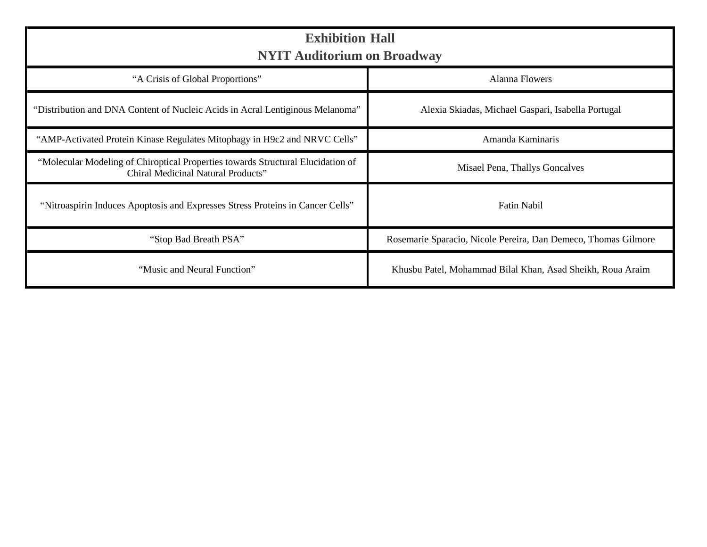| <b>Exhibition Hall</b><br><b>NYIT Auditorium on Broadway</b>                                                          |                                                                |  |
|-----------------------------------------------------------------------------------------------------------------------|----------------------------------------------------------------|--|
| "A Crisis of Global Proportions"                                                                                      | <b>Alanna Flowers</b>                                          |  |
| "Distribution and DNA Content of Nucleic Acids in Acral Lentiginous Melanoma"                                         | Alexia Skiadas, Michael Gaspari, Isabella Portugal             |  |
| "AMP-Activated Protein Kinase Regulates Mitophagy in H9c2 and NRVC Cells"                                             | Amanda Kaminaris                                               |  |
| "Molecular Modeling of Chiroptical Properties towards Structural Elucidation of<br>Chiral Medicinal Natural Products" | Misael Pena, Thallys Goncalves                                 |  |
| "Nitroaspirin Induces Apoptosis and Expresses Stress Proteins in Cancer Cells"                                        | <b>Fatin Nabil</b>                                             |  |
| "Stop Bad Breath PSA"                                                                                                 | Rosemarie Sparacio, Nicole Pereira, Dan Demeco, Thomas Gilmore |  |
| "Music and Neural Function"                                                                                           | Khusbu Patel, Mohammad Bilal Khan, Asad Sheikh, Roua Araim     |  |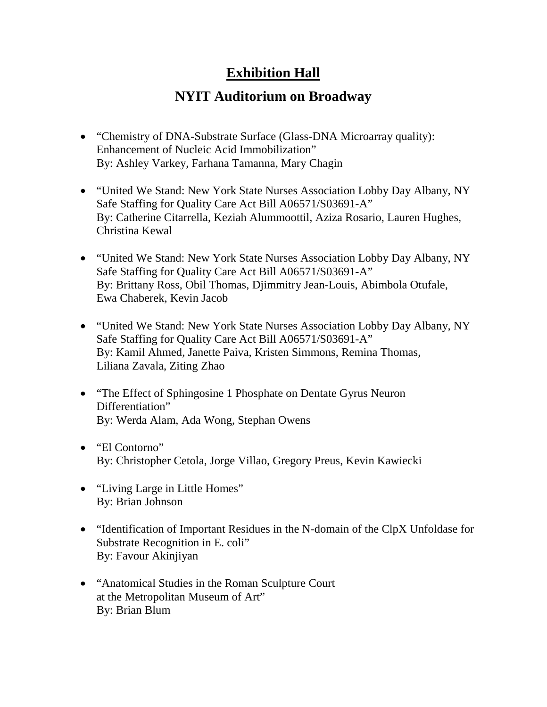## **Exhibition Hall**

## **NYIT Auditorium on Broadway**

- "Chemistry of DNA-Substrate Surface (Glass-DNA Microarray quality): Enhancement of Nucleic Acid Immobilization" By: Ashley Varkey, Farhana Tamanna, Mary Chagin
- "United We Stand: New York State Nurses Association Lobby Day Albany, NY Safe Staffing for Quality Care Act Bill A06571/S03691-A" By: Catherine Citarrella, Keziah Alummoottil, Aziza Rosario, Lauren Hughes, Christina Kewal
- "United We Stand: New York State Nurses Association Lobby Day Albany, NY Safe Staffing for Quality Care Act Bill A06571/S03691-A" By: Brittany Ross, Obil Thomas, Djimmitry Jean-Louis, Abimbola Otufale, Ewa Chaberek, Kevin Jacob
- "United We Stand: New York State Nurses Association Lobby Day Albany, NY Safe Staffing for Quality Care Act Bill A06571/S03691-A" By: Kamil Ahmed, Janette Paiva, Kristen Simmons, Remina Thomas, Liliana Zavala, Ziting Zhao
- "The Effect of Sphingosine 1 Phosphate on Dentate Gyrus Neuron" Differentiation" By: Werda Alam, Ada Wong, Stephan Owens
- "El Contorno" By: Christopher Cetola, Jorge Villao, Gregory Preus, Kevin Kawiecki
- "Living Large in Little Homes" By: Brian Johnson
- "Identification of Important Residues in the N-domain of the ClpX Unfoldase for Substrate Recognition in E. coli" By: Favour Akinjiyan
- "Anatomical Studies in the Roman Sculpture Court at the Metropolitan Museum of Art" By: Brian Blum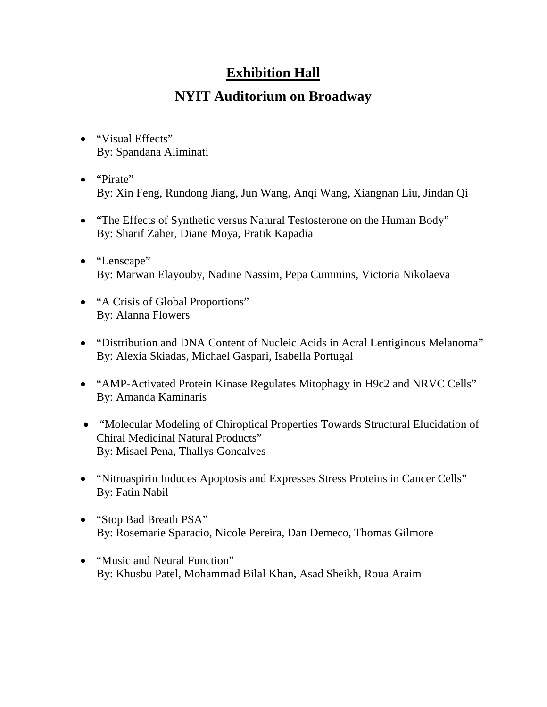## **Exhibition Hall**

## **NYIT Auditorium on Broadway**

- "Visual Effects" By: Spandana Aliminati
- "Pirate" By: Xin Feng, Rundong Jiang, Jun Wang, Anqi Wang, Xiangnan Liu, Jindan Qi
- "The Effects of Synthetic versus Natural Testosterone on the Human Body" By: Sharif Zaher, Diane Moya, Pratik Kapadia
- "Lenscape" By: Marwan Elayouby, Nadine Nassim, Pepa Cummins, Victoria Nikolaeva
- "A Crisis of Global Proportions" By: Alanna Flowers
- "Distribution and DNA Content of Nucleic Acids in Acral Lentiginous Melanoma" By: Alexia Skiadas, Michael Gaspari, Isabella Portugal
- "AMP-Activated Protein Kinase Regulates Mitophagy in H9c2 and NRVC Cells" By: Amanda Kaminaris
- "Molecular Modeling of Chiroptical Properties Towards Structural Elucidation of Chiral Medicinal Natural Products" By: Misael Pena, Thallys Goncalves
- "Nitroaspirin Induces Apoptosis and Expresses Stress Proteins in Cancer Cells" By: Fatin Nabil
- "Stop Bad Breath PSA" By: Rosemarie Sparacio, Nicole Pereira, Dan Demeco, Thomas Gilmore
- "Music and Neural Function" By: Khusbu Patel, Mohammad Bilal Khan, Asad Sheikh, Roua Araim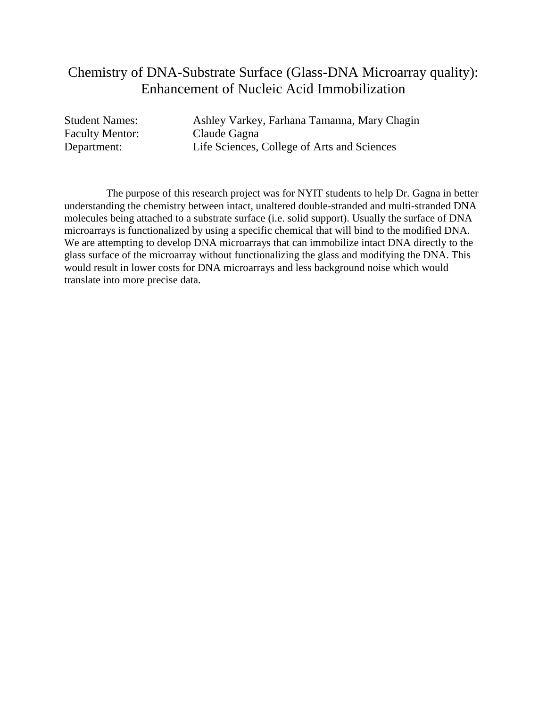## Chemistry of DNA-Substrate Surface (Glass-DNA Microarray quality): Enhancement of Nucleic Acid Immobilization

Faculty Mentor: Claude Gagna

Student Names: Ashley Varkey, Farhana Tamanna, Mary Chagin Department: Life Sciences, College of Arts and Sciences

The purpose of this research project was for NYIT students to help Dr. Gagna in better understanding the chemistry between intact, unaltered double-stranded and multi-stranded DNA molecules being attached to a substrate surface (i.e. solid support). Usually the surface of DNA microarrays is functionalized by using a specific chemical that will bind to the modified DNA. We are attempting to develop DNA microarrays that can immobilize intact DNA directly to the glass surface of the microarray without functionalizing the glass and modifying the DNA. This would result in lower costs for DNA microarrays and less background noise which would translate into more precise data.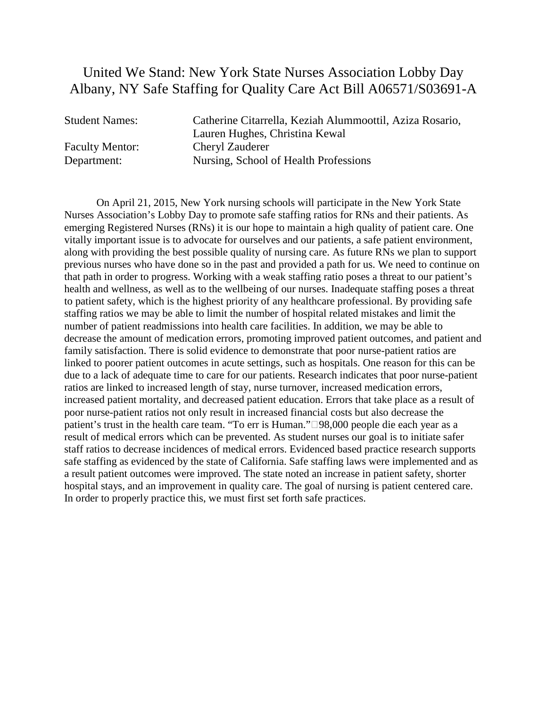## United We Stand: New York State Nurses Association Lobby Day Albany, NY Safe Staffing for Quality Care Act Bill A06571/S03691-A

Student Names: Catherine Citarrella, Keziah Alummoottil, Aziza Rosario, Lauren Hughes, Christina Kewal Faculty Mentor: Cheryl Zauderer Department: Nursing, School of Health Professions

On April 21, 2015, New York nursing schools will participate in the New York State Nurses Association's Lobby Day to promote safe staffing ratios for RNs and their patients. As emerging Registered Nurses (RNs) it is our hope to maintain a high quality of patient care. One vitally important issue is to advocate for ourselves and our patients, a safe patient environment, along with providing the best possible quality of nursing care. As future RNs we plan to support previous nurses who have done so in the past and provided a path for us. We need to continue on that path in order to progress. Working with a weak staffing ratio poses a threat to our patient's health and wellness, as well as to the wellbeing of our nurses. Inadequate staffing poses a threat to patient safety, which is the highest priority of any healthcare professional. By providing safe staffing ratios we may be able to limit the number of hospital related mistakes and limit the number of patient readmissions into health care facilities. In addition, we may be able to decrease the amount of medication errors, promoting improved patient outcomes, and patient and family satisfaction. There is solid evidence to demonstrate that poor nurse-patient ratios are linked to poorer patient outcomes in acute settings, such as hospitals. One reason for this can be due to a lack of adequate time to care for our patients. Research indicates that poor nurse-patient ratios are linked to increased length of stay, nurse turnover, increased medication errors, increased patient mortality, and decreased patient education. Errors that take place as a result of poor nurse-patient ratios not only result in increased financial costs but also decrease the patient's trust in the health care team. "To err is Human."98,000 people die each year as a result of medical errors which can be prevented. As student nurses our goal is to initiate safer staff ratios to decrease incidences of medical errors. Evidenced based practice research supports safe staffing as evidenced by the state of California. Safe staffing laws were implemented and as a result patient outcomes were improved. The state noted an increase in patient safety, shorter hospital stays, and an improvement in quality care. The goal of nursing is patient centered care. In order to properly practice this, we must first set forth safe practices.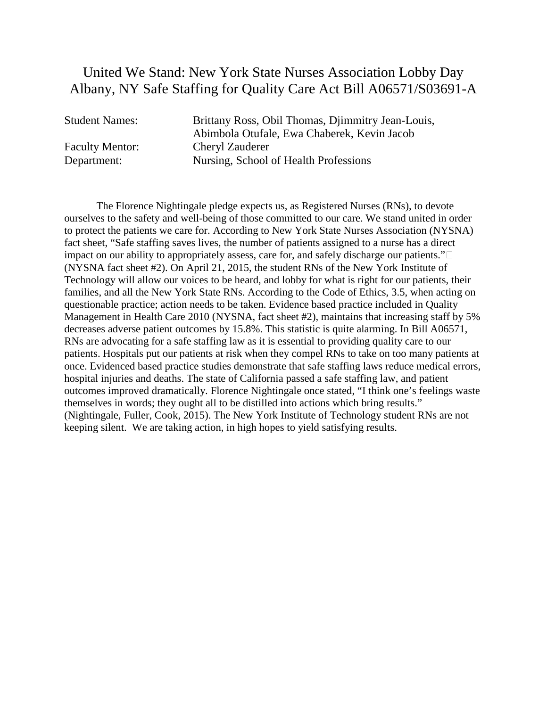#### United We Stand: New York State Nurses Association Lobby Day Albany, NY Safe Staffing for Quality Care Act Bill A06571/S03691-A

Student Names: Brittany Ross, Obil Thomas, Djimmitry Jean-Louis, Abimbola Otufale, Ewa Chaberek, Kevin Jacob Faculty Mentor: Cheryl Zauderer Department: Nursing, School of Health Professions

The Florence Nightingale pledge expects us, as Registered Nurses (RNs), to devote ourselves to the safety and well-being of those committed to our care. We stand united in order to protect the patients we care for. According to New York State Nurses Association (NYSNA) fact sheet, "Safe staffing saves lives, the number of patients assigned to a nurse has a direct impact on our ability to appropriately assess, care for, and safely discharge our patients." $\square$ (NYSNA fact sheet #2). On April 21, 2015, the student RNs of the New York Institute of Technology will allow our voices to be heard, and lobby for what is right for our patients, their families, and all the New York State RNs. According to the Code of Ethics, 3.5, when acting on questionable practice; action needs to be taken. Evidence based practice included in Quality Management in Health Care 2010 (NYSNA, fact sheet #2), maintains that increasing staff by 5% decreases adverse patient outcomes by 15.8%. This statistic is quite alarming. In Bill A06571, RNs are advocating for a safe staffing law as it is essential to providing quality care to our patients. Hospitals put our patients at risk when they compel RNs to take on too many patients at once. Evidenced based practice studies demonstrate that safe staffing laws reduce medical errors, hospital injuries and deaths. The state of California passed a safe staffing law, and patient outcomes improved dramatically. Florence Nightingale once stated, "I think one's feelings waste themselves in words; they ought all to be distilled into actions which bring results." (Nightingale, Fuller, Cook, 2015). The New York Institute of Technology student RNs are not keeping silent. We are taking action, in high hopes to yield satisfying results.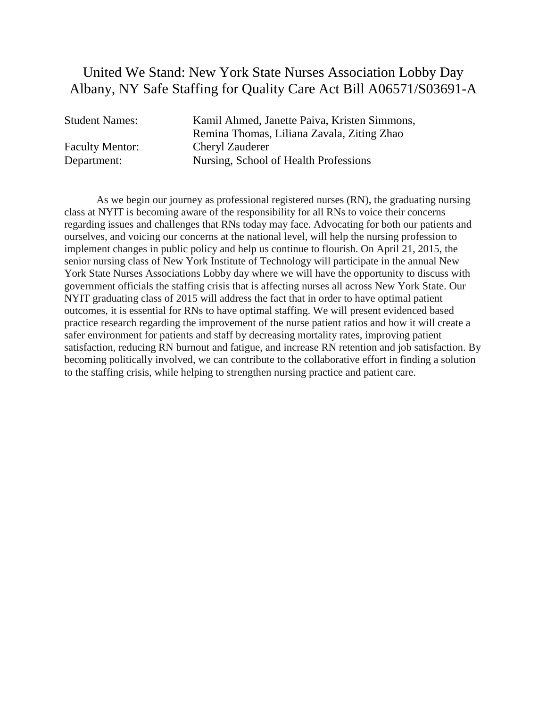## United We Stand: New York State Nurses Association Lobby Day Albany, NY Safe Staffing for Quality Care Act Bill A06571/S03691-A

Student Names: Kamil Ahmed, Janette Paiva, Kristen Simmons, Remina Thomas, Liliana Zavala, Ziting Zhao Faculty Mentor: Cheryl Zauderer Department: Nursing, School of Health Professions

As we begin our journey as professional registered nurses (RN), the graduating nursing class at NYIT is becoming aware of the responsibility for all RNs to voice their concerns regarding issues and challenges that RNs today may face. Advocating for both our patients and ourselves, and voicing our concerns at the national level, will help the nursing profession to implement changes in public policy and help us continue to flourish. On April 21, 2015, the senior nursing class of New York Institute of Technology will participate in the annual New York State Nurses Associations Lobby day where we will have the opportunity to discuss with government officials the staffing crisis that is affecting nurses all across New York State. Our NYIT graduating class of 2015 will address the fact that in order to have optimal patient outcomes, it is essential for RNs to have optimal staffing. We will present evidenced based practice research regarding the improvement of the nurse patient ratios and how it will create a safer environment for patients and staff by decreasing mortality rates, improving patient satisfaction, reducing RN burnout and fatigue, and increase RN retention and job satisfaction. By becoming politically involved, we can contribute to the collaborative effort in finding a solution to the staffing crisis, while helping to strengthen nursing practice and patient care.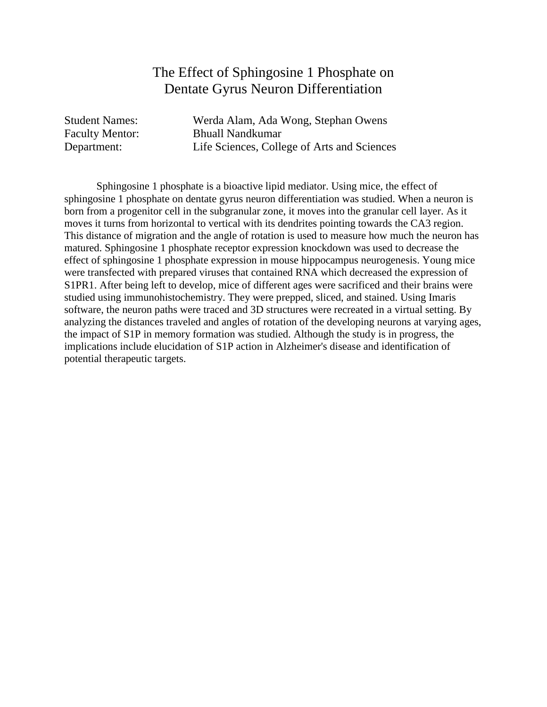### The Effect of Sphingosine 1 Phosphate on Dentate Gyrus Neuron Differentiation

Student Names: Werda Alam, Ada Wong, Stephan Owens Faculty Mentor: Bhuall Nandkumar Department: Life Sciences, College of Arts and Sciences

Sphingosine 1 phosphate is a bioactive lipid mediator. Using mice, the effect of sphingosine 1 phosphate on dentate gyrus neuron differentiation was studied. When a neuron is born from a progenitor cell in the subgranular zone, it moves into the granular cell layer. As it moves it turns from horizontal to vertical with its dendrites pointing towards the CA3 region. This distance of migration and the angle of rotation is used to measure how much the neuron has matured. Sphingosine 1 phosphate receptor expression knockdown was used to decrease the effect of sphingosine 1 phosphate expression in mouse hippocampus neurogenesis. Young mice were transfected with prepared viruses that contained RNA which decreased the expression of S1PR1. After being left to develop, mice of different ages were sacrificed and their brains were studied using immunohistochemistry. They were prepped, sliced, and stained. Using Imaris software, the neuron paths were traced and 3D structures were recreated in a virtual setting. By analyzing the distances traveled and angles of rotation of the developing neurons at varying ages, the impact of S1P in memory formation was studied. Although the study is in progress, the implications include elucidation of S1P action in Alzheimer's disease and identification of potential therapeutic targets.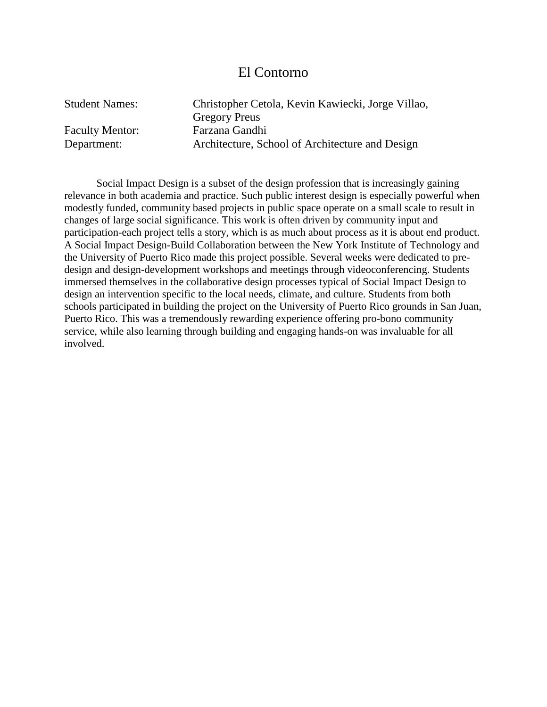#### El Contorno

Gregory Preus Faculty Mentor: Farzana Gandhi

Student Names: Christopher Cetola, Kevin Kawiecki, Jorge Villao, Department: Architecture, School of Architecture and Design

Social Impact Design is a subset of the design profession that is increasingly gaining relevance in both academia and practice. Such public interest design is especially powerful when modestly funded, community based projects in public space operate on a small scale to result in changes of large social significance. This work is often driven by community input and participation-each project tells a story, which is as much about process as it is about end product. A Social Impact Design-Build Collaboration between the New York Institute of Technology and the University of Puerto Rico made this project possible. Several weeks were dedicated to predesign and design-development workshops and meetings through videoconferencing. Students immersed themselves in the collaborative design processes typical of Social Impact Design to design an intervention specific to the local needs, climate, and culture. Students from both schools participated in building the project on the University of Puerto Rico grounds in San Juan, Puerto Rico. This was a tremendously rewarding experience offering pro-bono community service, while also learning through building and engaging hands-on was invaluable for all involved.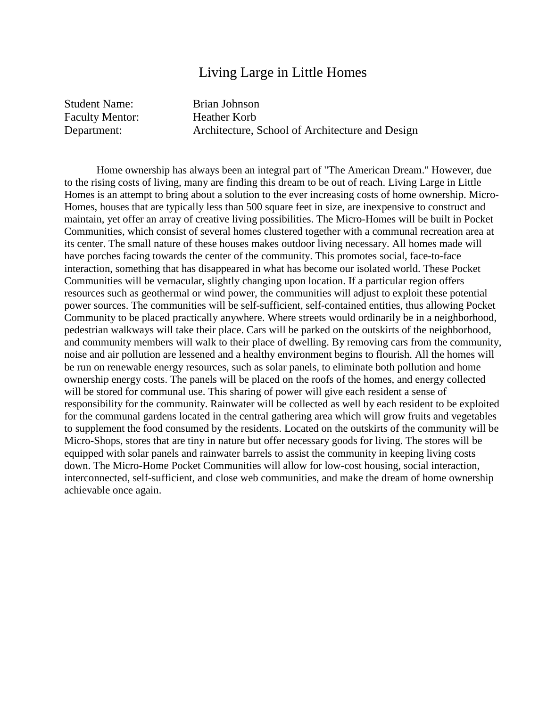#### Living Large in Little Homes

Student Name: Brian Johnson Faculty Mentor: Heather Korb

Department: Architecture, School of Architecture and Design

Home ownership has always been an integral part of "The American Dream." However, due to the rising costs of living, many are finding this dream to be out of reach. Living Large in Little Homes is an attempt to bring about a solution to the ever increasing costs of home ownership. Micro-Homes, houses that are typically less than 500 square feet in size, are inexpensive to construct and maintain, yet offer an array of creative living possibilities. The Micro-Homes will be built in Pocket Communities, which consist of several homes clustered together with a communal recreation area at its center. The small nature of these houses makes outdoor living necessary. All homes made will have porches facing towards the center of the community. This promotes social, face-to-face interaction, something that has disappeared in what has become our isolated world. These Pocket Communities will be vernacular, slightly changing upon location. If a particular region offers resources such as geothermal or wind power, the communities will adjust to exploit these potential power sources. The communities will be self-sufficient, self-contained entities, thus allowing Pocket Community to be placed practically anywhere. Where streets would ordinarily be in a neighborhood, pedestrian walkways will take their place. Cars will be parked on the outskirts of the neighborhood, and community members will walk to their place of dwelling. By removing cars from the community, noise and air pollution are lessened and a healthy environment begins to flourish. All the homes will be run on renewable energy resources, such as solar panels, to eliminate both pollution and home ownership energy costs. The panels will be placed on the roofs of the homes, and energy collected will be stored for communal use. This sharing of power will give each resident a sense of responsibility for the community. Rainwater will be collected as well by each resident to be exploited for the communal gardens located in the central gathering area which will grow fruits and vegetables to supplement the food consumed by the residents. Located on the outskirts of the community will be Micro-Shops, stores that are tiny in nature but offer necessary goods for living. The stores will be equipped with solar panels and rainwater barrels to assist the community in keeping living costs down. The Micro-Home Pocket Communities will allow for low-cost housing, social interaction, interconnected, self-sufficient, and close web communities, and make the dream of home ownership achievable once again.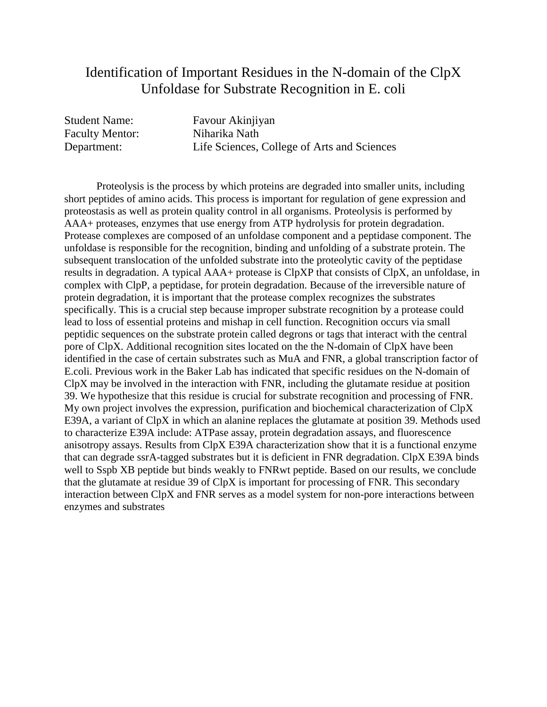## Identification of Important Residues in the N-domain of the ClpX Unfoldase for Substrate Recognition in E. coli

Faculty Mentor: Niharika Nath

Student Name: Favour Akinjiyan Department: Life Sciences, College of Arts and Sciences

Proteolysis is the process by which proteins are degraded into smaller units, including short peptides of amino acids. This process is important for regulation of gene expression and proteostasis as well as protein quality control in all organisms. Proteolysis is performed by AAA+ proteases, enzymes that use energy from ATP hydrolysis for protein degradation. Protease complexes are composed of an unfoldase component and a peptidase component. The unfoldase is responsible for the recognition, binding and unfolding of a substrate protein. The subsequent translocation of the unfolded substrate into the proteolytic cavity of the peptidase results in degradation. A typical AAA+ protease is ClpXP that consists of ClpX, an unfoldase, in complex with ClpP, a peptidase, for protein degradation. Because of the irreversible nature of protein degradation, it is important that the protease complex recognizes the substrates specifically. This is a crucial step because improper substrate recognition by a protease could lead to loss of essential proteins and mishap in cell function. Recognition occurs via small peptidic sequences on the substrate protein called degrons or tags that interact with the central pore of ClpX. Additional recognition sites located on the the N-domain of ClpX have been identified in the case of certain substrates such as MuA and FNR, a global transcription factor of E.coli. Previous work in the Baker Lab has indicated that specific residues on the N-domain of ClpX may be involved in the interaction with FNR, including the glutamate residue at position 39. We hypothesize that this residue is crucial for substrate recognition and processing of FNR. My own project involves the expression, purification and biochemical characterization of ClpX E39A, a variant of ClpX in which an alanine replaces the glutamate at position 39. Methods used to characterize E39A include: ATPase assay, protein degradation assays, and fluorescence anisotropy assays. Results from ClpX E39A characterization show that it is a functional enzyme that can degrade ssrA-tagged substrates but it is deficient in FNR degradation. ClpX E39A binds well to Sspb XB peptide but binds weakly to FNRwt peptide. Based on our results, we conclude that the glutamate at residue 39 of ClpX is important for processing of FNR. This secondary interaction between ClpX and FNR serves as a model system for non-pore interactions between enzymes and substrates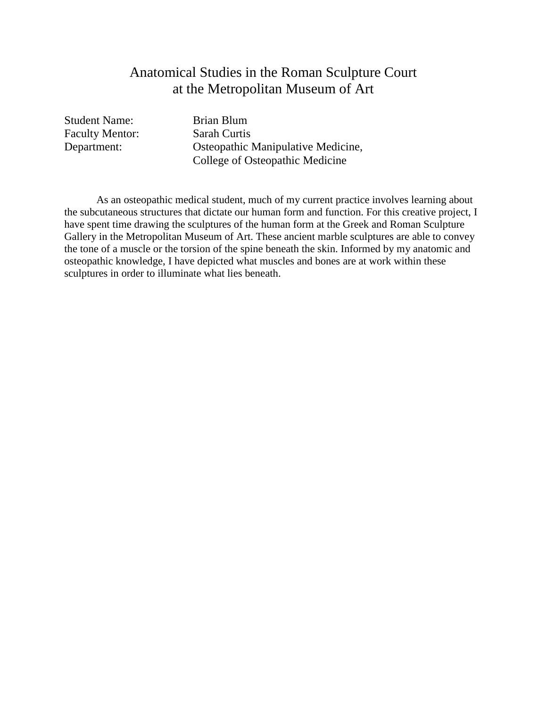## Anatomical Studies in the Roman Sculpture Court at the Metropolitan Museum of Art

Student Name: Brian Blum Faculty Mentor: Sarah Curtis

Department: Osteopathic Manipulative Medicine, College of Osteopathic Medicine

As an osteopathic medical student, much of my current practice involves learning about the subcutaneous structures that dictate our human form and function. For this creative project, I have spent time drawing the sculptures of the human form at the Greek and Roman Sculpture Gallery in the Metropolitan Museum of Art. These ancient marble sculptures are able to convey the tone of a muscle or the torsion of the spine beneath the skin. Informed by my anatomic and osteopathic knowledge, I have depicted what muscles and bones are at work within these sculptures in order to illuminate what lies beneath.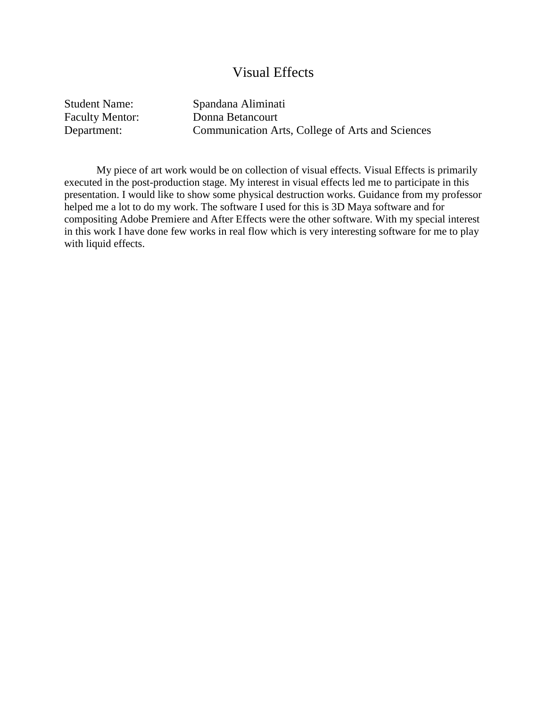#### Visual Effects

Student Name: Spandana Aliminati

Faculty Mentor: Donna Betancourt Department: Communication Arts, College of Arts and Sciences

My piece of art work would be on collection of visual effects. Visual Effects is primarily executed in the post-production stage. My interest in visual effects led me to participate in this presentation. I would like to show some physical destruction works. Guidance from my professor helped me a lot to do my work. The software I used for this is 3D Maya software and for compositing Adobe Premiere and After Effects were the other software. With my special interest in this work I have done few works in real flow which is very interesting software for me to play with liquid effects.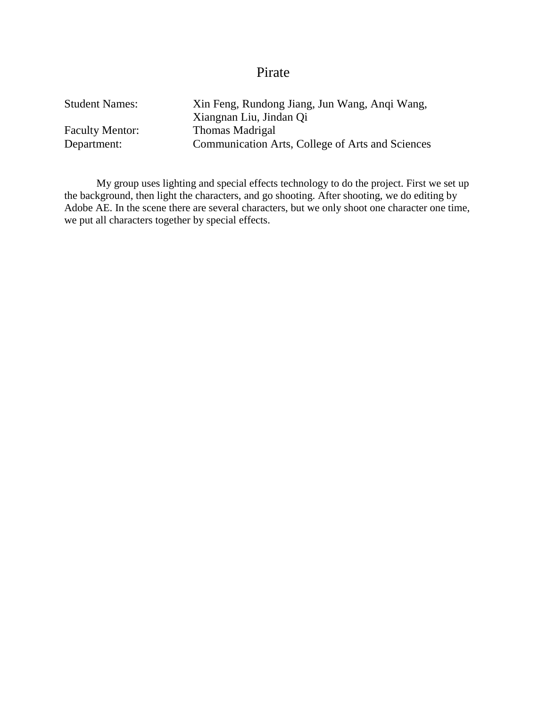## Pirate

| <b>Student Names:</b>  | Xin Feng, Rundong Jiang, Jun Wang, Angi Wang,    |
|------------------------|--------------------------------------------------|
|                        | Xiangnan Liu, Jindan Qi                          |
| <b>Faculty Mentor:</b> | Thomas Madrigal                                  |
| Department:            | Communication Arts, College of Arts and Sciences |

My group uses lighting and special effects technology to do the project. First we set up the background, then light the characters, and go shooting. After shooting, we do editing by Adobe AE. In the scene there are several characters, but we only shoot one character one time, we put all characters together by special effects.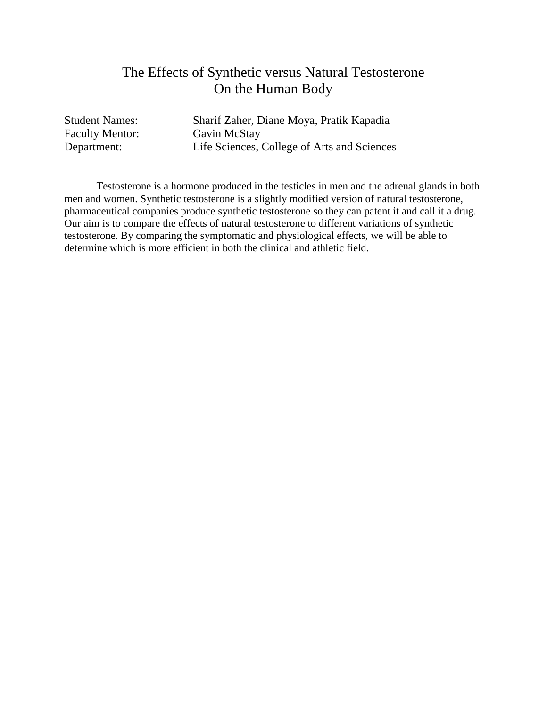### The Effects of Synthetic versus Natural Testosterone On the Human Body

Faculty Mentor:

Student Names: Sharif Zaher, Diane Moya, Pratik Kapadia<br>Faculty Mentor: Gavin McStay Department: Life Sciences, College of Arts and Sciences

Testosterone is a hormone produced in the testicles in men and the adrenal glands in both men and women. Synthetic testosterone is a slightly modified version of natural testosterone, pharmaceutical companies produce synthetic testosterone so they can patent it and call it a drug. Our aim is to compare the effects of natural testosterone to different variations of synthetic testosterone. By comparing the symptomatic and physiological effects, we will be able to determine which is more efficient in both the clinical and athletic field.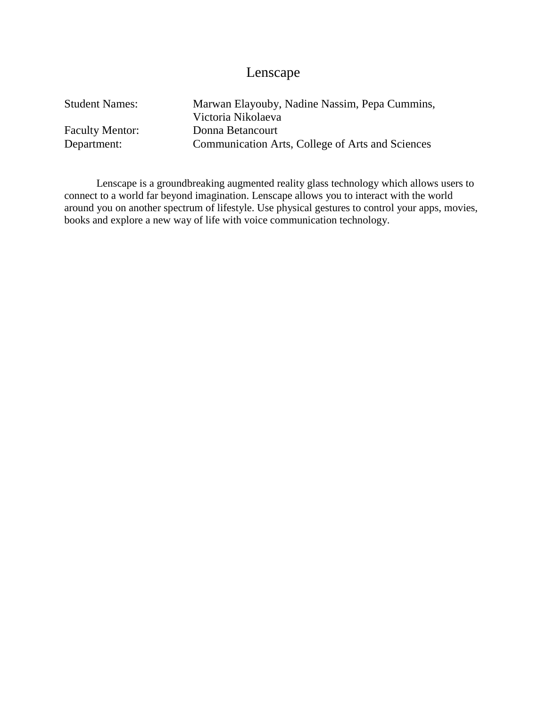## Lenscape

| <b>Student Names:</b>  | Marwan Elayouby, Nadine Nassim, Pepa Cummins,    |
|------------------------|--------------------------------------------------|
|                        | Victoria Nikolaeva                               |
| <b>Faculty Mentor:</b> | Donna Betancourt                                 |
| Department:            | Communication Arts, College of Arts and Sciences |

Lenscape is a groundbreaking augmented reality glass technology which allows users to connect to a world far beyond imagination. Lenscape allows you to interact with the world around you on another spectrum of lifestyle. Use physical gestures to control your apps, movies, books and explore a new way of life with voice communication technology.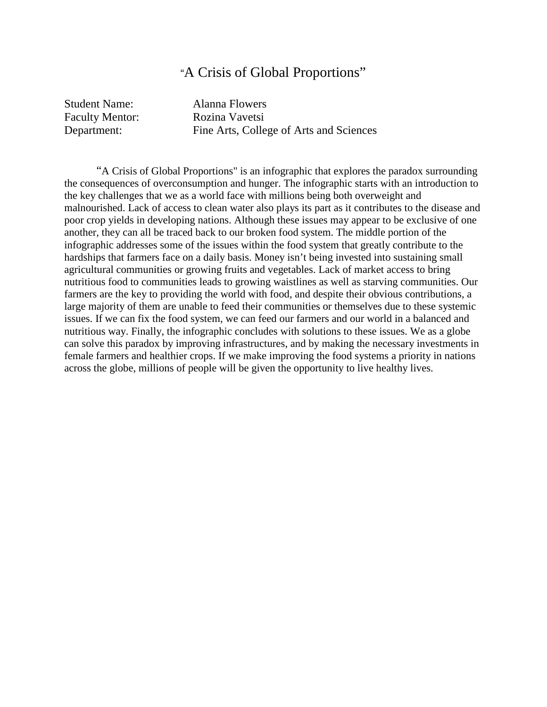#### "A Crisis of Global Proportions"

Student Name: Alanna Flowers Faculty Mentor: Rozina Vavetsi

Department: Fine Arts, College of Arts and Sciences

"A Crisis of Global Proportions" is an infographic that explores the paradox surrounding the consequences of overconsumption and hunger. The infographic starts with an introduction to the key challenges that we as a world face with millions being both overweight and malnourished. Lack of access to clean water also plays its part as it contributes to the disease and poor crop yields in developing nations. Although these issues may appear to be exclusive of one another, they can all be traced back to our broken food system. The middle portion of the infographic addresses some of the issues within the food system that greatly contribute to the hardships that farmers face on a daily basis. Money isn't being invested into sustaining small agricultural communities or growing fruits and vegetables. Lack of market access to bring nutritious food to communities leads to growing waistlines as well as starving communities. Our farmers are the key to providing the world with food, and despite their obvious contributions, a large majority of them are unable to feed their communities or themselves due to these systemic issues. If we can fix the food system, we can feed our farmers and our world in a balanced and nutritious way. Finally, the infographic concludes with solutions to these issues. We as a globe can solve this paradox by improving infrastructures, and by making the necessary investments in female farmers and healthier crops. If we make improving the food systems a priority in nations across the globe, millions of people will be given the opportunity to live healthy lives.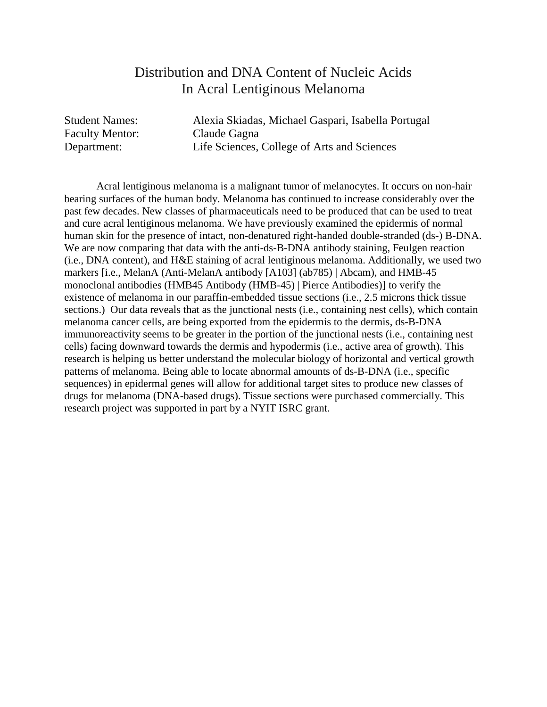#### Distribution and DNA Content of Nucleic Acids In Acral Lentiginous Melanoma

Faculty Mentor: Claude Gagna

Student Names: Alexia Skiadas, Michael Gaspari, Isabella Portugal Department: Life Sciences, College of Arts and Sciences

Acral lentiginous melanoma is a malignant tumor of melanocytes. It occurs on non-hair bearing surfaces of the human body. Melanoma has continued to increase considerably over the past few decades. New classes of pharmaceuticals need to be produced that can be used to treat and cure acral lentiginous melanoma. We have previously examined the epidermis of normal human skin for the presence of intact, non-denatured right-handed double-stranded (ds-) B-DNA. We are now comparing that data with the anti-ds-B-DNA antibody staining, Feulgen reaction (i.e., DNA content), and H&E staining of acral lentiginous melanoma. Additionally, we used two markers [i.e., MelanA (Anti-MelanA antibody [A103] (ab785) | Abcam), and HMB-45 monoclonal antibodies (HMB45 Antibody (HMB-45) | Pierce Antibodies)] to verify the existence of melanoma in our paraffin-embedded tissue sections (i.e., 2.5 microns thick tissue sections.) Our data reveals that as the junctional nests (i.e., containing nest cells), which contain melanoma cancer cells, are being exported from the epidermis to the dermis, ds-B-DNA immunoreactivity seems to be greater in the portion of the junctional nests (i.e., containing nest cells) facing downward towards the dermis and hypodermis (i.e., active area of growth). This research is helping us better understand the molecular biology of horizontal and vertical growth patterns of melanoma. Being able to locate abnormal amounts of ds-B-DNA (i.e., specific sequences) in epidermal genes will allow for additional target sites to produce new classes of drugs for melanoma (DNA-based drugs). Tissue sections were purchased commercially. This research project was supported in part by a NYIT ISRC grant.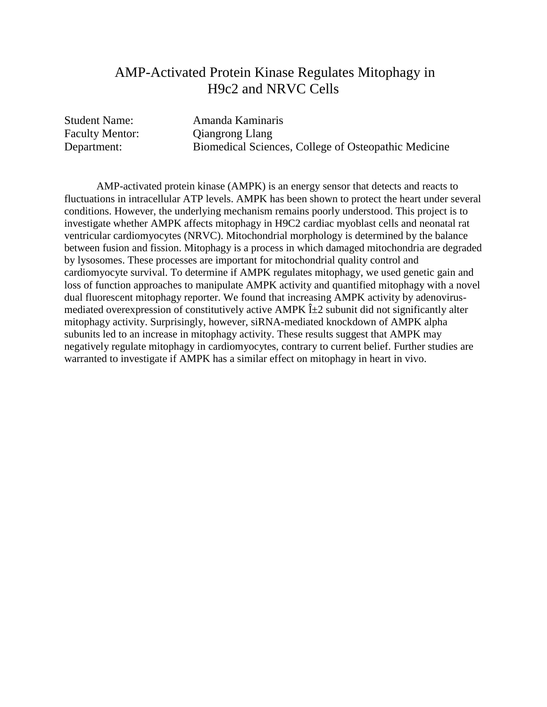## AMP-Activated Protein Kinase Regulates Mitophagy in H9c2 and NRVC Cells

Student Name: Amanda Kaminaris Faculty Mentor: Qiangrong Llang Department: Biomedical Sciences, College of Osteopathic Medicine

AMP-activated protein kinase (AMPK) is an energy sensor that detects and reacts to fluctuations in intracellular ATP levels. AMPK has been shown to protect the heart under several conditions. However, the underlying mechanism remains poorly understood. This project is to investigate whether AMPK affects mitophagy in H9C2 cardiac myoblast cells and neonatal rat ventricular cardiomyocytes (NRVC). Mitochondrial morphology is determined by the balance between fusion and fission. Mitophagy is a process in which damaged mitochondria are degraded by lysosomes. These processes are important for mitochondrial quality control and cardiomyocyte survival. To determine if AMPK regulates mitophagy, we used genetic gain and loss of function approaches to manipulate AMPK activity and quantified mitophagy with a novel dual fluorescent mitophagy reporter. We found that increasing AMPK activity by adenovirusmediated overexpression of constitutively active AMPK  $\hat{I}$  ±2 subunit did not significantly alter mitophagy activity. Surprisingly, however, siRNA-mediated knockdown of AMPK alpha subunits led to an increase in mitophagy activity. These results suggest that AMPK may negatively regulate mitophagy in cardiomyocytes, contrary to current belief. Further studies are warranted to investigate if AMPK has a similar effect on mitophagy in heart in vivo.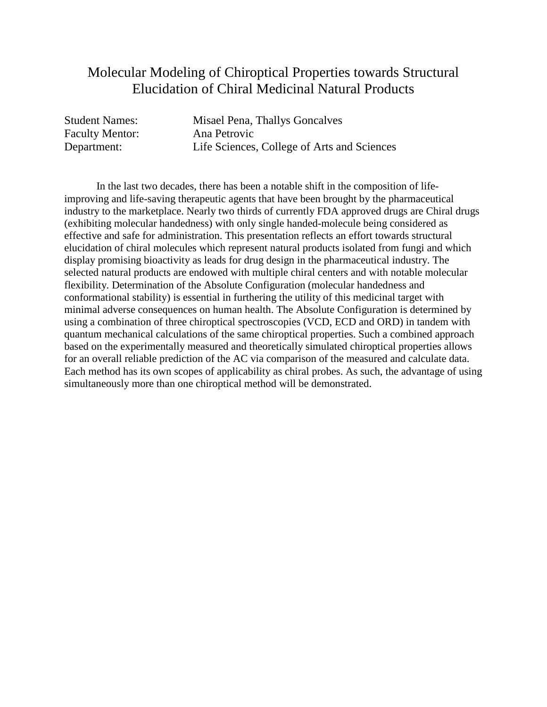## Molecular Modeling of Chiroptical Properties towards Structural Elucidation of Chiral Medicinal Natural Products

Faculty Mentor: Ana Petrovic

Student Names: Misael Pena, Thallys Goncalves Department: Life Sciences, College of Arts and Sciences

In the last two decades, there has been a notable shift in the composition of lifeimproving and life-saving therapeutic agents that have been brought by the pharmaceutical industry to the marketplace. Nearly two thirds of currently FDA approved drugs are Chiral drugs (exhibiting molecular handedness) with only single handed-molecule being considered as effective and safe for administration. This presentation reflects an effort towards structural elucidation of chiral molecules which represent natural products isolated from fungi and which display promising bioactivity as leads for drug design in the pharmaceutical industry. The selected natural products are endowed with multiple chiral centers and with notable molecular flexibility. Determination of the Absolute Configuration (molecular handedness and conformational stability) is essential in furthering the utility of this medicinal target with minimal adverse consequences on human health. The Absolute Configuration is determined by using a combination of three chiroptical spectroscopies (VCD, ECD and ORD) in tandem with quantum mechanical calculations of the same chiroptical properties. Such a combined approach based on the experimentally measured and theoretically simulated chiroptical properties allows for an overall reliable prediction of the AC via comparison of the measured and calculate data. Each method has its own scopes of applicability as chiral probes. As such, the advantage of using simultaneously more than one chiroptical method will be demonstrated.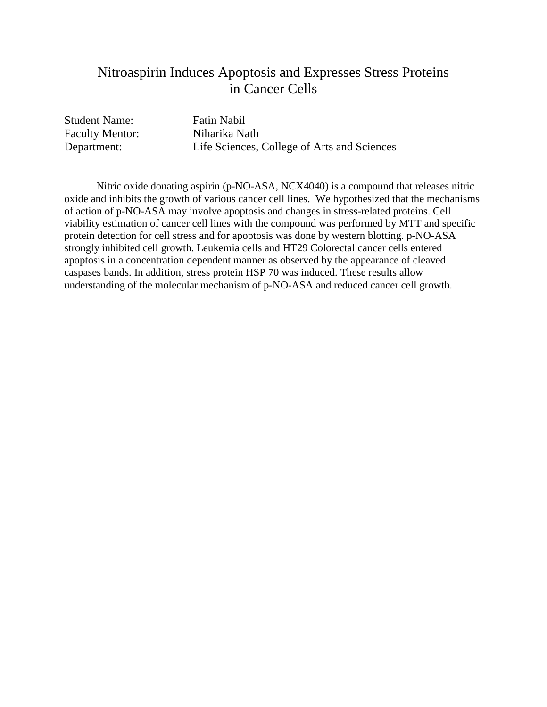## Nitroaspirin Induces Apoptosis and Expresses Stress Proteins in Cancer Cells

Student Name: Fatin Nabil Faculty Mentor: Niharika Nath

Department: Life Sciences, College of Arts and Sciences

Nitric oxide donating aspirin (p-NO-ASA, NCX4040) is a compound that releases nitric oxide and inhibits the growth of various cancer cell lines. We hypothesized that the mechanisms of action of p-NO-ASA may involve apoptosis and changes in stress-related proteins. Cell viability estimation of cancer cell lines with the compound was performed by MTT and specific protein detection for cell stress and for apoptosis was done by western blotting. p-NO-ASA strongly inhibited cell growth. Leukemia cells and HT29 Colorectal cancer cells entered apoptosis in a concentration dependent manner as observed by the appearance of cleaved caspases bands. In addition, stress protein HSP 70 was induced. These results allow understanding of the molecular mechanism of p-NO-ASA and reduced cancer cell growth.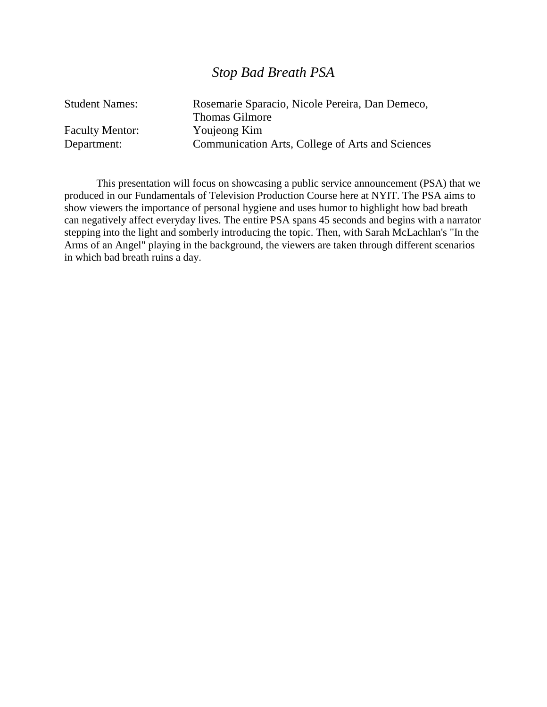#### *Stop Bad Breath PSA*

| <b>Student Names:</b>  | Rosemarie Sparacio, Nicole Pereira, Dan Demeco,  |
|------------------------|--------------------------------------------------|
|                        | <b>Thomas Gilmore</b>                            |
| <b>Faculty Mentor:</b> | Youjeong Kim                                     |
| Department:            | Communication Arts, College of Arts and Sciences |

This presentation will focus on showcasing a public service announcement (PSA) that we produced in our Fundamentals of Television Production Course here at NYIT. The PSA aims to show viewers the importance of personal hygiene and uses humor to highlight how bad breath can negatively affect everyday lives. The entire PSA spans 45 seconds and begins with a narrator stepping into the light and somberly introducing the topic. Then, with Sarah McLachlan's "In the Arms of an Angel" playing in the background, the viewers are taken through different scenarios in which bad breath ruins a day.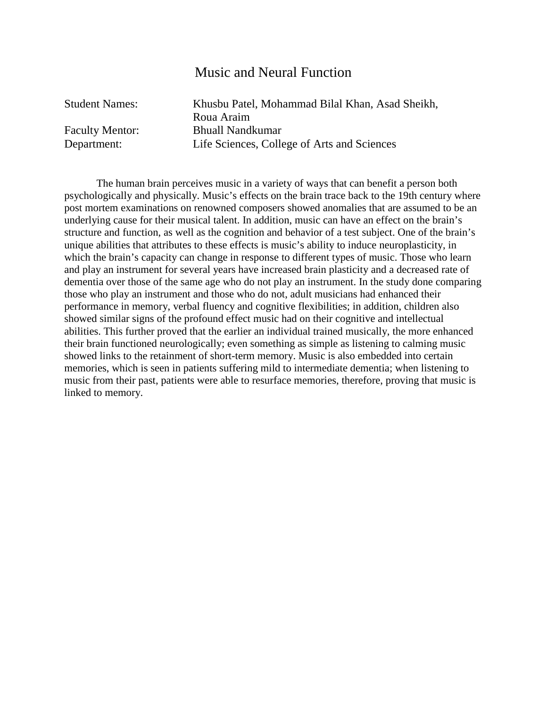#### Music and Neural Function

| <b>Student Names:</b>  | Khusbu Patel, Mohammad Bilal Khan, Asad Sheikh, |
|------------------------|-------------------------------------------------|
|                        | Roua Araim                                      |
| <b>Faculty Mentor:</b> | <b>Bhuall Nandkumar</b>                         |
| Department:            | Life Sciences, College of Arts and Sciences     |

The human brain perceives music in a variety of ways that can benefit a person both psychologically and physically. Music's effects on the brain trace back to the 19th century where post mortem examinations on renowned composers showed anomalies that are assumed to be an underlying cause for their musical talent. In addition, music can have an effect on the brain's structure and function, as well as the cognition and behavior of a test subject. One of the brain's unique abilities that attributes to these effects is music's ability to induce neuroplasticity, in which the brain's capacity can change in response to different types of music. Those who learn and play an instrument for several years have increased brain plasticity and a decreased rate of dementia over those of the same age who do not play an instrument. In the study done comparing those who play an instrument and those who do not, adult musicians had enhanced their performance in memory, verbal fluency and cognitive flexibilities; in addition, children also showed similar signs of the profound effect music had on their cognitive and intellectual abilities. This further proved that the earlier an individual trained musically, the more enhanced their brain functioned neurologically; even something as simple as listening to calming music showed links to the retainment of short-term memory. Music is also embedded into certain memories, which is seen in patients suffering mild to intermediate dementia; when listening to music from their past, patients were able to resurface memories, therefore, proving that music is linked to memory.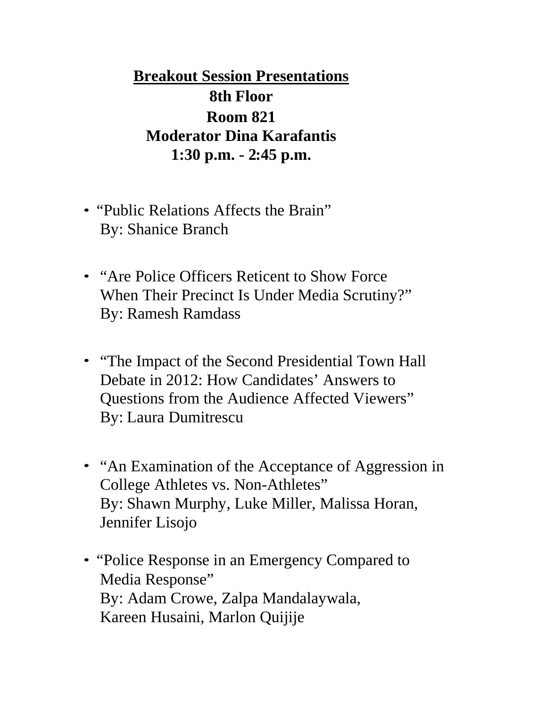**Breakout Session Presentations 8th Floor Room 821 Moderator Dina Karafantis 1:30 p.m. - 2:45 p.m.**

- "Public Relations Affects the Brain" By: Shanice Branch
- "Are Police Officers Reticent to Show Force" When Their Precinct Is Under Media Scrutiny?" By: Ramesh Ramdass
- "The Impact of the Second Presidential Town Hall Debate in 2012: How Candidates' Answers to Questions from the Audience Affected Viewers" By: Laura Dumitrescu
- "An Examination of the Acceptance of Aggression in College Athletes vs. Non-Athletes" By: Shawn Murphy, Luke Miller, Malissa Horan, Jennifer Lisojo
- "Police Response in an Emergency Compared to Media Response" By: Adam Crowe, Zalpa Mandalaywala, Kareen Husaini, Marlon Quijije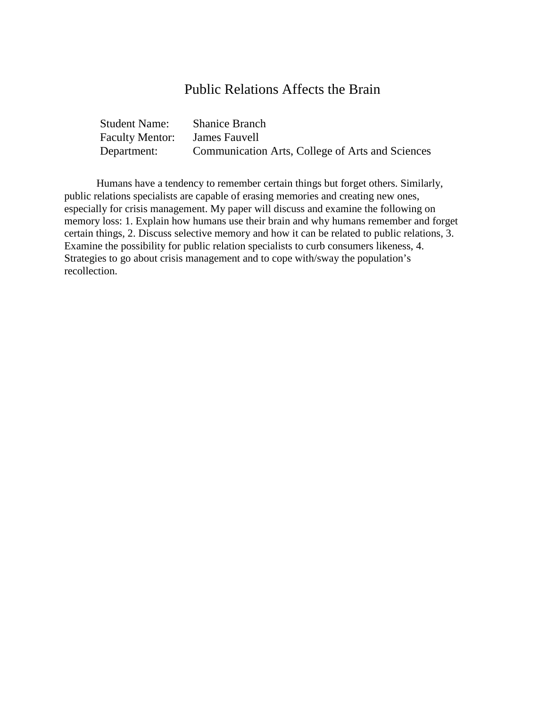#### Public Relations Affects the Brain

| <b>Student Name:</b> | <b>Shanice Branch</b>                            |
|----------------------|--------------------------------------------------|
| Faculty Mentor:      | James Fauvell                                    |
| Department:          | Communication Arts, College of Arts and Sciences |

Humans have a tendency to remember certain things but forget others. Similarly, public relations specialists are capable of erasing memories and creating new ones, especially for crisis management. My paper will discuss and examine the following on memory loss: 1. Explain how humans use their brain and why humans remember and forget certain things, 2. Discuss selective memory and how it can be related to public relations, 3. Examine the possibility for public relation specialists to curb consumers likeness, 4. Strategies to go about crisis management and to cope with/sway the population's recollection.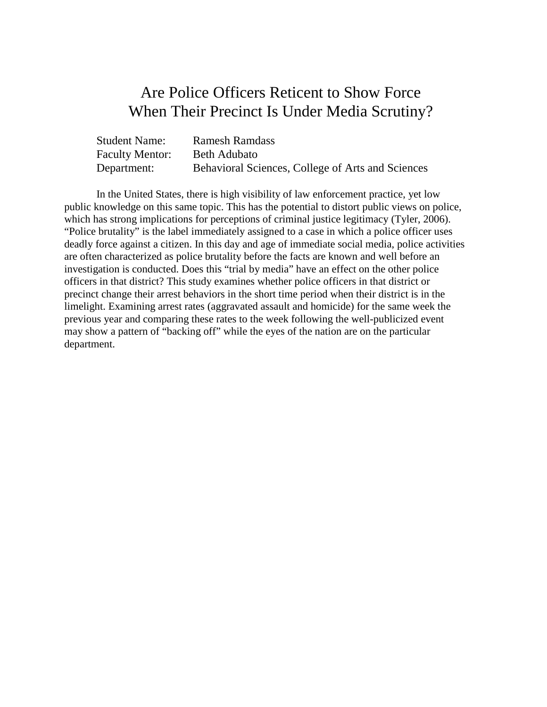## Are Police Officers Reticent to Show Force When Their Precinct Is Under Media Scrutiny?

| <b>Student Name:</b> | <b>Ramesh Ramdass</b>                             |
|----------------------|---------------------------------------------------|
| Faculty Mentor:      | Beth Adubato                                      |
| Department:          | Behavioral Sciences, College of Arts and Sciences |

In the United States, there is high visibility of law enforcement practice, yet low public knowledge on this same topic. This has the potential to distort public views on police, which has strong implications for perceptions of criminal justice legitimacy (Tyler, 2006). "Police brutality" is the label immediately assigned to a case in which a police officer uses deadly force against a citizen. In this day and age of immediate social media, police activities are often characterized as police brutality before the facts are known and well before an investigation is conducted. Does this "trial by media" have an effect on the other police officers in that district? This study examines whether police officers in that district or precinct change their arrest behaviors in the short time period when their district is in the limelight. Examining arrest rates (aggravated assault and homicide) for the same week the previous year and comparing these rates to the week following the well-publicized event may show a pattern of "backing off" while the eyes of the nation are on the particular department.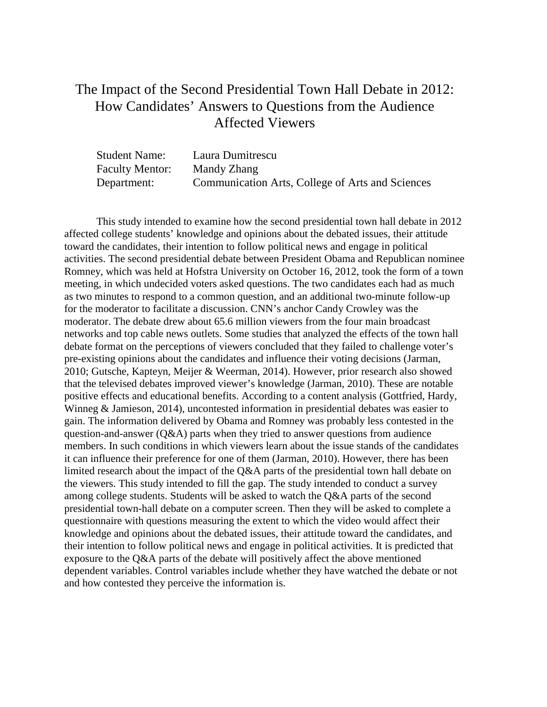## The Impact of the Second Presidential Town Hall Debate in 2012: How Candidates' Answers to Questions from the Audience Affected Viewers

| <b>Student Name:</b>   | Laura Dumitrescu                                 |
|------------------------|--------------------------------------------------|
| <b>Faculty Mentor:</b> | Mandy Zhang                                      |
| Department:            | Communication Arts, College of Arts and Sciences |

This study intended to examine how the second presidential town hall debate in 2012 affected college students' knowledge and opinions about the debated issues, their attitude toward the candidates, their intention to follow political news and engage in political activities. The second presidential debate between President Obama and Republican nominee Romney, which was held at Hofstra University on October 16, 2012, took the form of a town meeting, in which undecided voters asked questions. The two candidates each had as much as two minutes to respond to a common question, and an additional two-minute follow-up for the moderator to facilitate a discussion. CNN's anchor Candy Crowley was the moderator. The debate drew about 65.6 million viewers from the four main broadcast networks and top cable news outlets. Some studies that analyzed the effects of the town hall debate format on the perceptions of viewers concluded that they failed to challenge voter's pre-existing opinions about the candidates and influence their voting decisions (Jarman, 2010; Gutsche, Kapteyn, Meijer & Weerman, 2014). However, prior research also showed that the televised debates improved viewer's knowledge (Jarman, 2010). These are notable positive effects and educational benefits. According to a content analysis (Gottfried, Hardy, Winneg & Jamieson, 2014), uncontested information in presidential debates was easier to gain. The information delivered by Obama and Romney was probably less contested in the question-and-answer (Q&A) parts when they tried to answer questions from audience members. In such conditions in which viewers learn about the issue stands of the candidates it can influence their preference for one of them (Jarman, 2010). However, there has been limited research about the impact of the Q&A parts of the presidential town hall debate on the viewers. This study intended to fill the gap. The study intended to conduct a survey among college students. Students will be asked to watch the Q&A parts of the second presidential town-hall debate on a computer screen. Then they will be asked to complete a questionnaire with questions measuring the extent to which the video would affect their knowledge and opinions about the debated issues, their attitude toward the candidates, and their intention to follow political news and engage in political activities. It is predicted that exposure to the Q&A parts of the debate will positively affect the above mentioned dependent variables. Control variables include whether they have watched the debate or not and how contested they perceive the information is.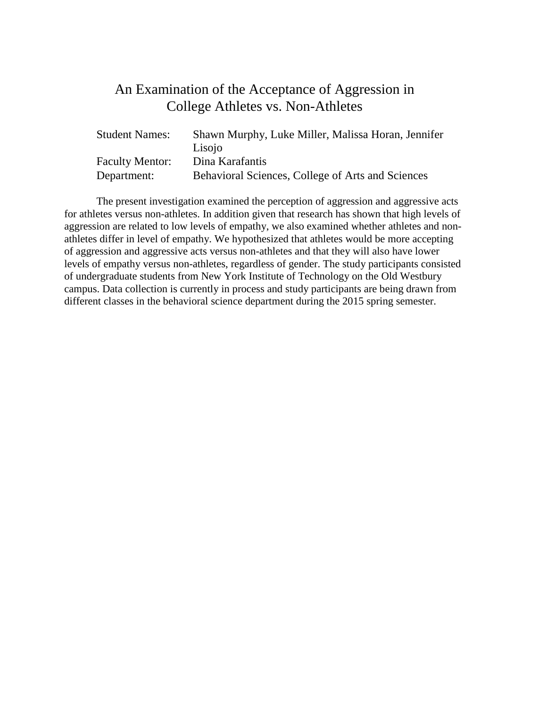## An Examination of the Acceptance of Aggression in College Athletes vs. Non-Athletes

| <b>Student Names:</b>  | Shawn Murphy, Luke Miller, Malissa Horan, Jennifer |
|------------------------|----------------------------------------------------|
|                        | Lisojo                                             |
| <b>Faculty Mentor:</b> | Dina Karafantis                                    |
| Department:            | Behavioral Sciences, College of Arts and Sciences  |

The present investigation examined the perception of aggression and aggressive acts for athletes versus non-athletes. In addition given that research has shown that high levels of aggression are related to low levels of empathy, we also examined whether athletes and nonathletes differ in level of empathy. We hypothesized that athletes would be more accepting of aggression and aggressive acts versus non-athletes and that they will also have lower levels of empathy versus non-athletes, regardless of gender. The study participants consisted of undergraduate students from New York Institute of Technology on the Old Westbury campus. Data collection is currently in process and study participants are being drawn from different classes in the behavioral science department during the 2015 spring semester.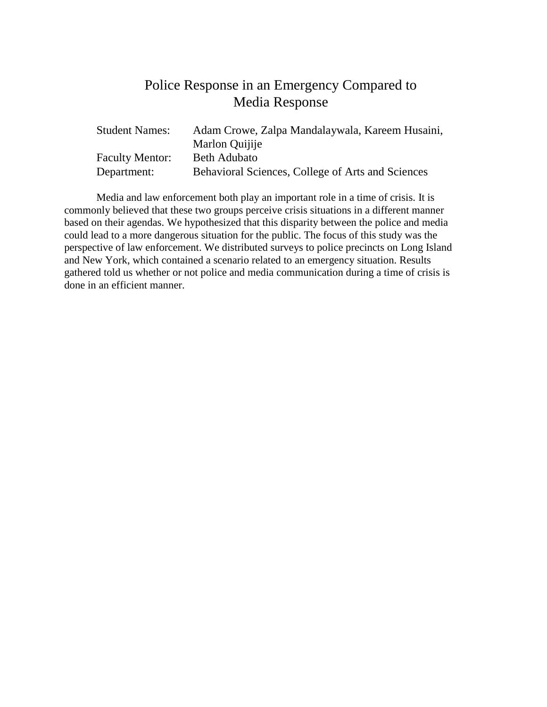## Police Response in an Emergency Compared to Media Response

| <b>Student Names:</b>  | Adam Crowe, Zalpa Mandalaywala, Kareem Husaini,   |
|------------------------|---------------------------------------------------|
|                        | Marlon Quijije                                    |
| <b>Faculty Mentor:</b> | <b>Beth Adubato</b>                               |
| Department:            | Behavioral Sciences, College of Arts and Sciences |

Media and law enforcement both play an important role in a time of crisis. It is commonly believed that these two groups perceive crisis situations in a different manner based on their agendas. We hypothesized that this disparity between the police and media could lead to a more dangerous situation for the public. The focus of this study was the perspective of law enforcement. We distributed surveys to police precincts on Long Island and New York, which contained a scenario related to an emergency situation. Results gathered told us whether or not police and media communication during a time of crisis is done in an efficient manner.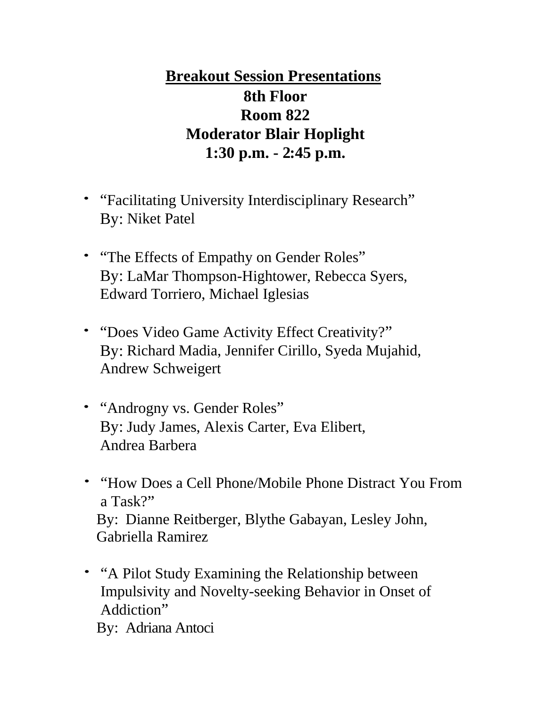# **Breakout Session Presentations 8th Floor Room 822 Moderator Blair Hoplight 1:30 p.m. - 2:45 p.m.**

- "Facilitating University Interdisciplinary Research" By: Niket Patel
- "The Effects of Empathy on Gender Roles" By: LaMar Thompson-Hightower, Rebecca Syers, Edward Torriero, Michael Iglesias
- "Does Video Game Activity Effect Creativity?" By: Richard Madia, Jennifer Cirillo, Syeda Mujahid, Andrew Schweigert
- "Androgny vs. Gender Roles" By: Judy James, Alexis Carter, Eva Elibert, Andrea Barbera
- "How Does a Cell Phone/Mobile Phone Distract You From a Task?" By: Dianne Reitberger, Blythe Gabayan, Lesley John, Gabriella Ramirez
- "A Pilot Study Examining the Relationship between Impulsivity and Novelty-seeking Behavior in Onset of Addiction" By: Adriana Antoci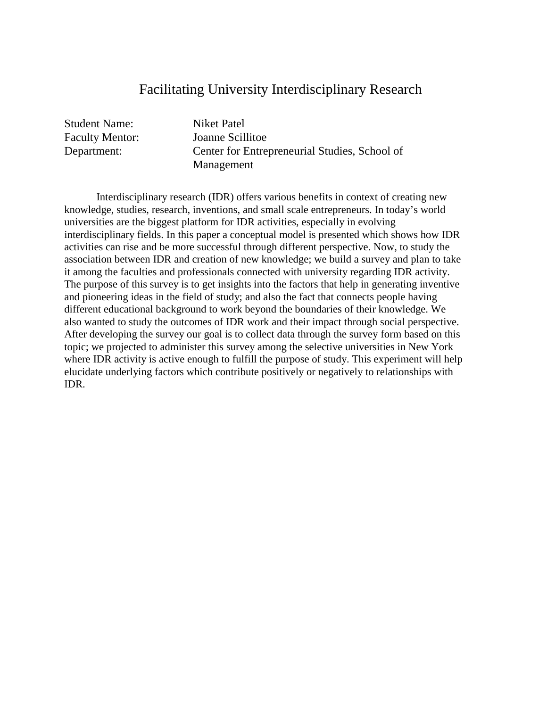#### Facilitating University Interdisciplinary Research

Student Name: Niket Patel

Faculty Mentor: Joanne Scillitoe Department: Center for Entrepreneurial Studies, School of Management

Interdisciplinary research (IDR) offers various benefits in context of creating new knowledge, studies, research, inventions, and small scale entrepreneurs. In today's world universities are the biggest platform for IDR activities, especially in evolving interdisciplinary fields. In this paper a conceptual model is presented which shows how IDR activities can rise and be more successful through different perspective. Now, to study the association between IDR and creation of new knowledge; we build a survey and plan to take it among the faculties and professionals connected with university regarding IDR activity. The purpose of this survey is to get insights into the factors that help in generating inventive and pioneering ideas in the field of study; and also the fact that connects people having different educational background to work beyond the boundaries of their knowledge. We also wanted to study the outcomes of IDR work and their impact through social perspective. After developing the survey our goal is to collect data through the survey form based on this topic; we projected to administer this survey among the selective universities in New York where IDR activity is active enough to fulfill the purpose of study. This experiment will help elucidate underlying factors which contribute positively or negatively to relationships with IDR.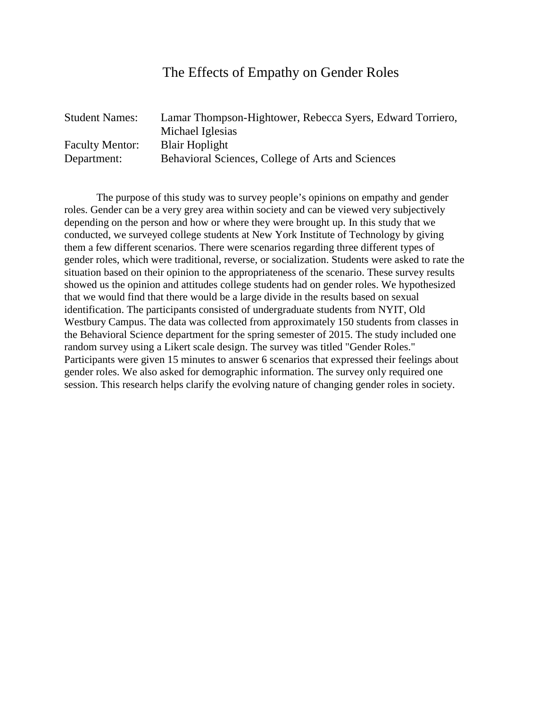#### The Effects of Empathy on Gender Roles

| <b>Student Names:</b>  | Lamar Thompson-Hightower, Rebecca Syers, Edward Torriero, |
|------------------------|-----------------------------------------------------------|
|                        | Michael Iglesias                                          |
| <b>Faculty Mentor:</b> | <b>Blair Hoplight</b>                                     |
| Department:            | Behavioral Sciences, College of Arts and Sciences         |

The purpose of this study was to survey people's opinions on empathy and gender roles. Gender can be a very grey area within society and can be viewed very subjectively depending on the person and how or where they were brought up. In this study that we conducted, we surveyed college students at New York Institute of Technology by giving them a few different scenarios. There were scenarios regarding three different types of gender roles, which were traditional, reverse, or socialization. Students were asked to rate the situation based on their opinion to the appropriateness of the scenario. These survey results showed us the opinion and attitudes college students had on gender roles. We hypothesized that we would find that there would be a large divide in the results based on sexual identification. The participants consisted of undergraduate students from NYIT, Old Westbury Campus. The data was collected from approximately 150 students from classes in the Behavioral Science department for the spring semester of 2015. The study included one random survey using a Likert scale design. The survey was titled "Gender Roles." Participants were given 15 minutes to answer 6 scenarios that expressed their feelings about gender roles. We also asked for demographic information. The survey only required one session. This research helps clarify the evolving nature of changing gender roles in society.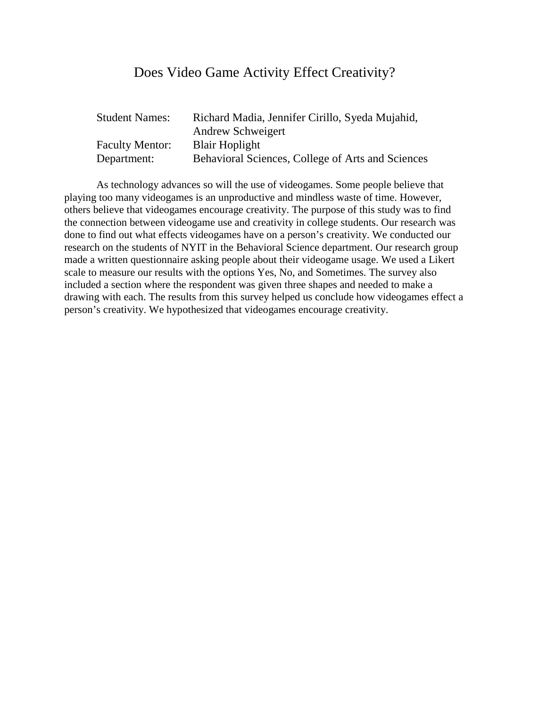#### Does Video Game Activity Effect Creativity?

| <b>Student Names:</b>  | Richard Madia, Jennifer Cirillo, Syeda Mujahid,   |
|------------------------|---------------------------------------------------|
|                        | <b>Andrew Schweigert</b>                          |
| <b>Faculty Mentor:</b> | <b>Blair Hoplight</b>                             |
| Department:            | Behavioral Sciences, College of Arts and Sciences |

As technology advances so will the use of videogames. Some people believe that playing too many videogames is an unproductive and mindless waste of time. However, others believe that videogames encourage creativity. The purpose of this study was to find the connection between videogame use and creativity in college students. Our research was done to find out what effects videogames have on a person's creativity. We conducted our research on the students of NYIT in the Behavioral Science department. Our research group made a written questionnaire asking people about their videogame usage. We used a Likert scale to measure our results with the options Yes, No, and Sometimes. The survey also included a section where the respondent was given three shapes and needed to make a drawing with each. The results from this survey helped us conclude how videogames effect a person's creativity. We hypothesized that videogames encourage creativity.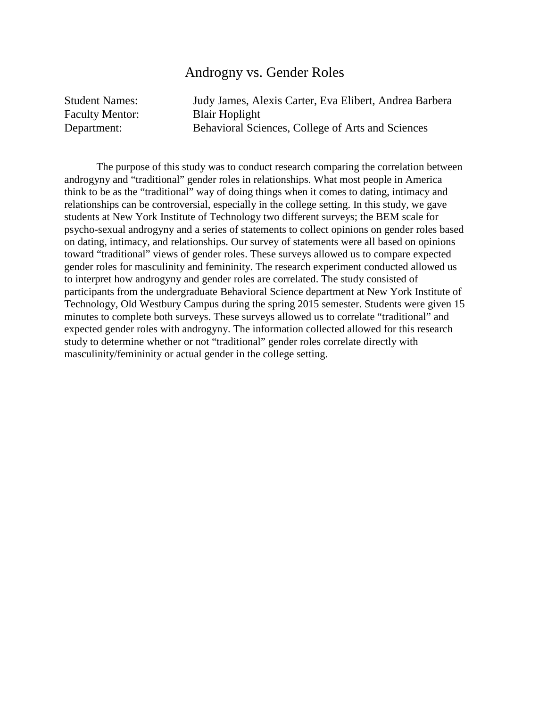#### Androgny vs. Gender Roles

| <b>Student Names:</b>  | Judy James, Alexis Carter, Eva Elibert, Andrea Barbera |
|------------------------|--------------------------------------------------------|
| <b>Faculty Mentor:</b> | <b>Blair Hoplight</b>                                  |
| Department:            | Behavioral Sciences, College of Arts and Sciences      |

The purpose of this study was to conduct research comparing the correlation between androgyny and "traditional" gender roles in relationships. What most people in America think to be as the "traditional" way of doing things when it comes to dating, intimacy and relationships can be controversial, especially in the college setting. In this study, we gave students at New York Institute of Technology two different surveys; the BEM scale for psycho-sexual androgyny and a series of statements to collect opinions on gender roles based on dating, intimacy, and relationships. Our survey of statements were all based on opinions toward "traditional" views of gender roles. These surveys allowed us to compare expected gender roles for masculinity and femininity. The research experiment conducted allowed us to interpret how androgyny and gender roles are correlated. The study consisted of participants from the undergraduate Behavioral Science department at New York Institute of Technology, Old Westbury Campus during the spring 2015 semester. Students were given 15 minutes to complete both surveys. These surveys allowed us to correlate "traditional" and expected gender roles with androgyny. The information collected allowed for this research study to determine whether or not "traditional" gender roles correlate directly with masculinity/femininity or actual gender in the college setting.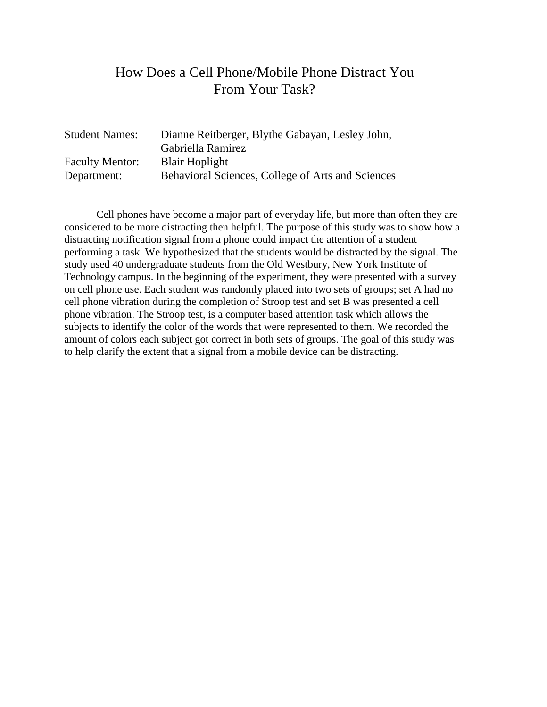## How Does a Cell Phone/Mobile Phone Distract You From Your Task?

| <b>Student Names:</b>  | Dianne Reitberger, Blythe Gabayan, Lesley John,   |
|------------------------|---------------------------------------------------|
|                        | Gabriella Ramirez                                 |
| <b>Faculty Mentor:</b> | <b>Blair Hoplight</b>                             |
| Department:            | Behavioral Sciences, College of Arts and Sciences |

Cell phones have become a major part of everyday life, but more than often they are considered to be more distracting then helpful. The purpose of this study was to show how a distracting notification signal from a phone could impact the attention of a student performing a task. We hypothesized that the students would be distracted by the signal. The study used 40 undergraduate students from the Old Westbury, New York Institute of Technology campus. In the beginning of the experiment, they were presented with a survey on cell phone use. Each student was randomly placed into two sets of groups; set A had no cell phone vibration during the completion of Stroop test and set B was presented a cell phone vibration. The Stroop test, is a computer based attention task which allows the subjects to identify the color of the words that were represented to them. We recorded the amount of colors each subject got correct in both sets of groups. The goal of this study was to help clarify the extent that a signal from a mobile device can be distracting.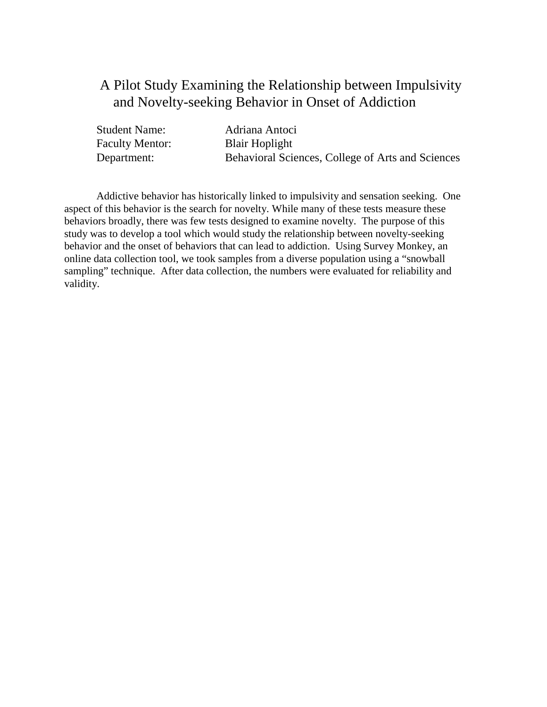## A Pilot Study Examining the Relationship between Impulsivity and Novelty-seeking Behavior in Onset of Addiction

| <b>Student Name:</b>   | Adriana Antoci                                    |
|------------------------|---------------------------------------------------|
| <b>Faculty Mentor:</b> | <b>Blair Hoplight</b>                             |
| Department:            | Behavioral Sciences, College of Arts and Sciences |

Addictive behavior has historically linked to impulsivity and sensation seeking. One aspect of this behavior is the search for novelty. While many of these tests measure these behaviors broadly, there was few tests designed to examine novelty. The purpose of this study was to develop a tool which would study the relationship between novelty-seeking behavior and the onset of behaviors that can lead to addiction. Using Survey Monkey, an online data collection tool, we took samples from a diverse population using a "snowball sampling" technique. After data collection, the numbers were evaluated for reliability and validity.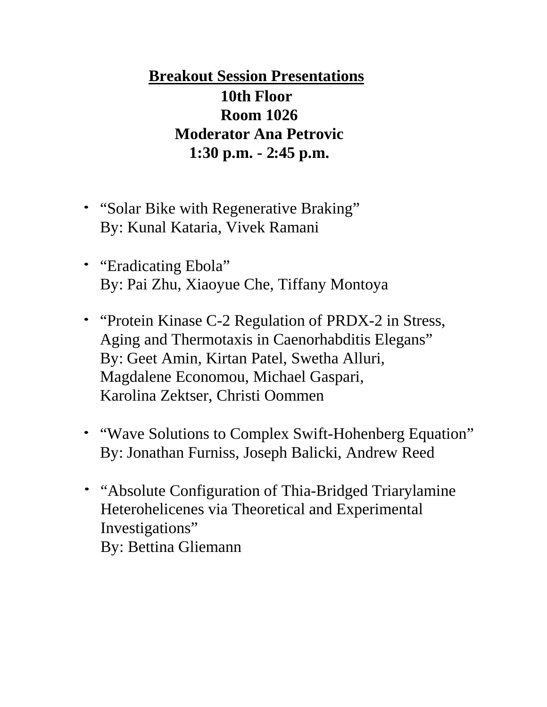**Breakout Session Presentations 10th Floor Room 1026 Moderator Ana Petrovic 1:30 p.m. - 2:45 p.m.**

- "Solar Bike with Regenerative Braking" By: Kunal Kataria, Vivek Ramani
- "Eradicating Ebola" By: Pai Zhu, Xiaoyue Che, Tiffany Montoya
- "Protein Kinase C-2 Regulation of PRDX-2 in Stress, Aging and Thermotaxis in Caenorhabditis Elegans" By: Geet Amin, Kirtan Patel, Swetha Alluri, Magdalene Economou, Michael Gaspari, Karolina Zektser, Christi Oommen
- "Wave Solutions to Complex Swift-Hohenberg Equation" By: Jonathan Furniss, Joseph Balicki, Andrew Reed
- "Absolute Configuration of Thia-Bridged Triarylamine Heterohelicenes via Theoretical and Experimental Investigations" By: Bettina Gliemann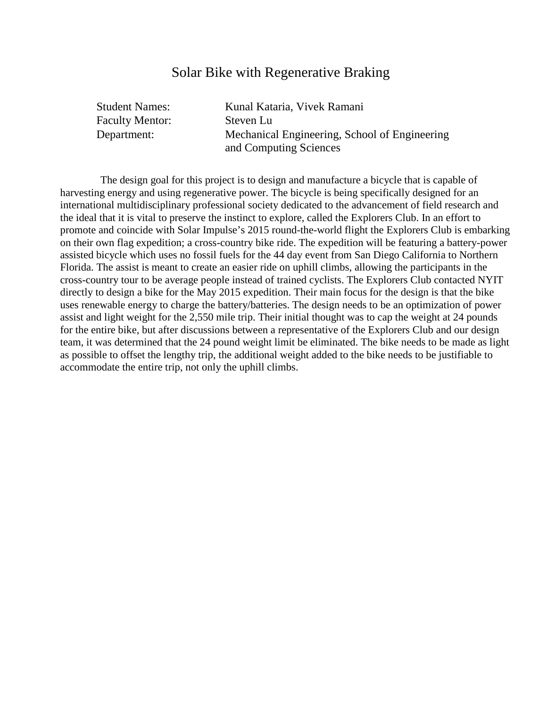#### Solar Bike with Regenerative Braking

| <b>Student Names:</b>  | Kunal Kataria, Vivek Ramani                                             |
|------------------------|-------------------------------------------------------------------------|
| <b>Faculty Mentor:</b> | Steven Lu                                                               |
| Department:            | Mechanical Engineering, School of Engineering<br>and Computing Sciences |

The design goal for this project is to design and manufacture a bicycle that is capable of harvesting energy and using regenerative power. The bicycle is being specifically designed for an international multidisciplinary professional society dedicated to the advancement of field research and the ideal that it is vital to preserve the instinct to explore, called the Explorers Club. In an effort to promote and coincide with Solar Impulse's 2015 round-the-world flight the Explorers Club is embarking on their own flag expedition; a cross-country bike ride. The expedition will be featuring a battery-power assisted bicycle which uses no fossil fuels for the 44 day event from San Diego California to Northern Florida. The assist is meant to create an easier ride on uphill climbs, allowing the participants in the cross-country tour to be average people instead of trained cyclists. The Explorers Club contacted NYIT directly to design a bike for the May 2015 expedition. Their main focus for the design is that the bike uses renewable energy to charge the battery/batteries. The design needs to be an optimization of power assist and light weight for the 2,550 mile trip. Their initial thought was to cap the weight at 24 pounds for the entire bike, but after discussions between a representative of the Explorers Club and our design team, it was determined that the 24 pound weight limit be eliminated. The bike needs to be made as light as possible to offset the lengthy trip, the additional weight added to the bike needs to be justifiable to accommodate the entire trip, not only the uphill climbs.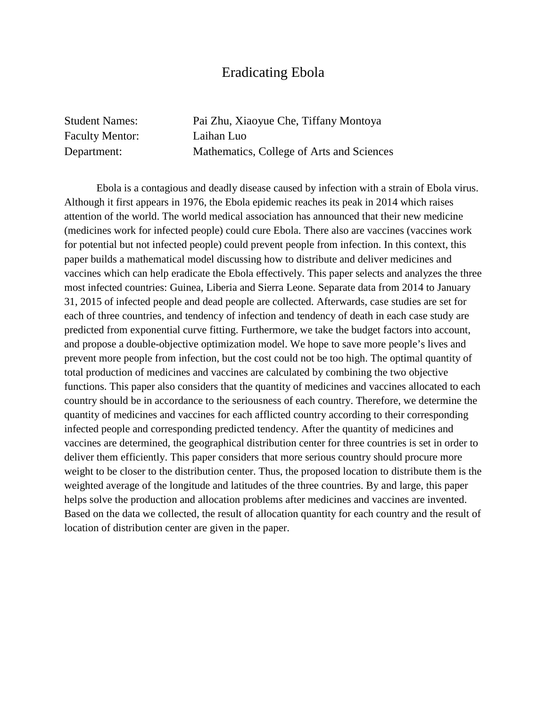#### Eradicating Ebola

Faculty Mentor: Laihan Luo

Student Names: Pai Zhu, Xiaoyue Che, Tiffany Montoya Department: Mathematics, College of Arts and Sciences

Ebola is a contagious and deadly disease caused by infection with a strain of Ebola virus. Although it first appears in 1976, the Ebola epidemic reaches its peak in 2014 which raises attention of the world. The world medical association has announced that their new medicine (medicines work for infected people) could cure Ebola. There also are vaccines (vaccines work for potential but not infected people) could prevent people from infection. In this context, this paper builds a mathematical model discussing how to distribute and deliver medicines and vaccines which can help eradicate the Ebola effectively. This paper selects and analyzes the three most infected countries: Guinea, Liberia and Sierra Leone. Separate data from 2014 to January 31, 2015 of infected people and dead people are collected. Afterwards, case studies are set for each of three countries, and tendency of infection and tendency of death in each case study are predicted from exponential curve fitting. Furthermore, we take the budget factors into account, and propose a double-objective optimization model. We hope to save more people's lives and prevent more people from infection, but the cost could not be too high. The optimal quantity of total production of medicines and vaccines are calculated by combining the two objective functions. This paper also considers that the quantity of medicines and vaccines allocated to each country should be in accordance to the seriousness of each country. Therefore, we determine the quantity of medicines and vaccines for each afflicted country according to their corresponding infected people and corresponding predicted tendency. After the quantity of medicines and vaccines are determined, the geographical distribution center for three countries is set in order to deliver them efficiently. This paper considers that more serious country should procure more weight to be closer to the distribution center. Thus, the proposed location to distribute them is the weighted average of the longitude and latitudes of the three countries. By and large, this paper helps solve the production and allocation problems after medicines and vaccines are invented. Based on the data we collected, the result of allocation quantity for each country and the result of location of distribution center are given in the paper.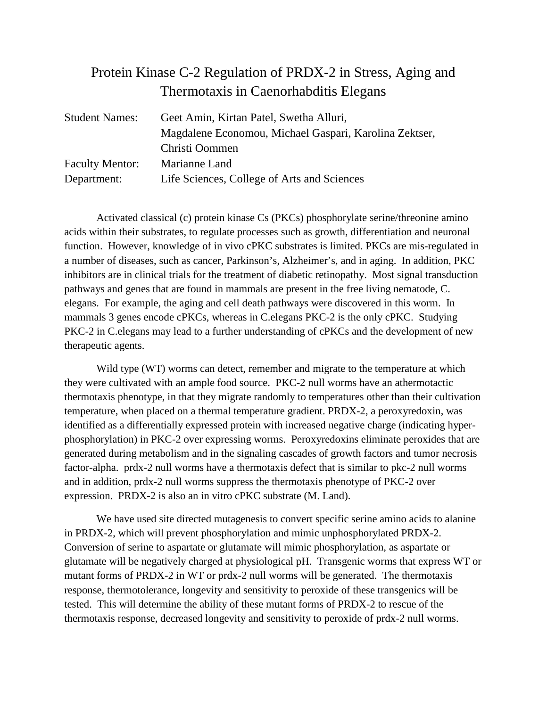## Protein Kinase C-2 Regulation of PRDX-2 in Stress, Aging and Thermotaxis in Caenorhabditis Elegans

| <b>Student Names:</b>  | Geet Amin, Kirtan Patel, Swetha Alluri,                |
|------------------------|--------------------------------------------------------|
|                        | Magdalene Economou, Michael Gaspari, Karolina Zektser, |
|                        | Christi Oommen                                         |
| <b>Faculty Mentor:</b> | Marianne Land                                          |
| Department:            | Life Sciences, College of Arts and Sciences            |

Activated classical (c) protein kinase Cs (PKCs) phosphorylate serine/threonine amino acids within their substrates, to regulate processes such as growth, differentiation and neuronal function. However, knowledge of in vivo cPKC substrates is limited. PKCs are mis-regulated in a number of diseases, such as cancer, Parkinson's, Alzheimer's, and in aging. In addition, PKC inhibitors are in clinical trials for the treatment of diabetic retinopathy. Most signal transduction pathways and genes that are found in mammals are present in the free living nematode, C. elegans. For example, the aging and cell death pathways were discovered in this worm. In mammals 3 genes encode cPKCs, whereas in C.elegans PKC-2 is the only cPKC. Studying PKC-2 in C. elegans may lead to a further understanding of cPKCs and the development of new therapeutic agents.

Wild type (WT) worms can detect, remember and migrate to the temperature at which they were cultivated with an ample food source. PKC-2 null worms have an athermotactic thermotaxis phenotype, in that they migrate randomly to temperatures other than their cultivation temperature, when placed on a thermal temperature gradient. PRDX-2, a peroxyredoxin, was identified as a differentially expressed protein with increased negative charge (indicating hyperphosphorylation) in PKC-2 over expressing worms. Peroxyredoxins eliminate peroxides that are generated during metabolism and in the signaling cascades of growth factors and tumor necrosis factor-alpha. prdx-2 null worms have a thermotaxis defect that is similar to pkc-2 null worms and in addition, prdx-2 null worms suppress the thermotaxis phenotype of PKC-2 over expression. PRDX-2 is also an in vitro cPKC substrate (M. Land).

We have used site directed mutagenesis to convert specific serine amino acids to alanine in PRDX-2, which will prevent phosphorylation and mimic unphosphorylated PRDX-2. Conversion of serine to aspartate or glutamate will mimic phosphorylation, as aspartate or glutamate will be negatively charged at physiological pH. Transgenic worms that express WT or mutant forms of PRDX-2 in WT or prdx-2 null worms will be generated. The thermotaxis response, thermotolerance, longevity and sensitivity to peroxide of these transgenics will be tested. This will determine the ability of these mutant forms of PRDX-2 to rescue of the thermotaxis response, decreased longevity and sensitivity to peroxide of prdx-2 null worms.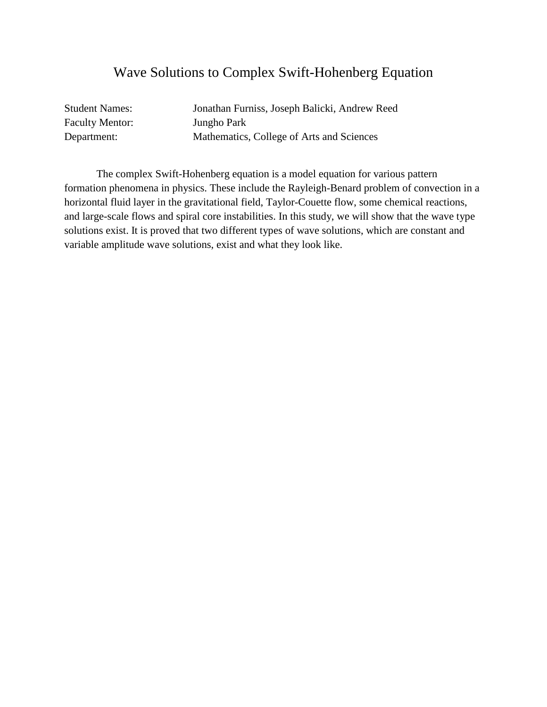### Wave Solutions to Complex Swift-Hohenberg Equation

Faculty Mentor: Jungho Park

Student Names: Jonathan Furniss, Joseph Balicki, Andrew Reed Department: Mathematics, College of Arts and Sciences

The complex Swift-Hohenberg equation is a model equation for various pattern formation phenomena in physics. These include the Rayleigh-Benard problem of convection in a horizontal fluid layer in the gravitational field, Taylor-Couette flow, some chemical reactions, and large-scale flows and spiral core instabilities. In this study, we will show that the wave type solutions exist. It is proved that two different types of wave solutions, which are constant and variable amplitude wave solutions, exist and what they look like.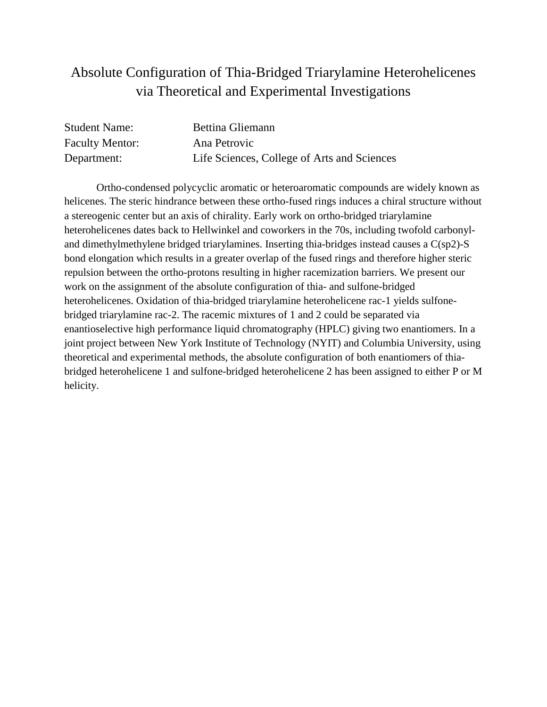## Absolute Configuration of Thia-Bridged Triarylamine Heterohelicenes via Theoretical and Experimental Investigations

| <b>Student Name:</b>   | <b>Bettina Gliemann</b>                     |
|------------------------|---------------------------------------------|
| <b>Faculty Mentor:</b> | Ana Petrovic                                |
| Department:            | Life Sciences, College of Arts and Sciences |

Ortho-condensed polycyclic aromatic or heteroaromatic compounds are widely known as helicenes. The steric hindrance between these ortho-fused rings induces a chiral structure without a stereogenic center but an axis of chirality. Early work on ortho-bridged triarylamine heterohelicenes dates back to Hellwinkel and coworkers in the 70s, including twofold carbonyland dimethylmethylene bridged triarylamines. Inserting thia-bridges instead causes a C(sp2)-S bond elongation which results in a greater overlap of the fused rings and therefore higher steric repulsion between the ortho-protons resulting in higher racemization barriers. We present our work on the assignment of the absolute configuration of thia- and sulfone-bridged heterohelicenes. Oxidation of thia-bridged triarylamine heterohelicene rac-1 yields sulfonebridged triarylamine rac-2. The racemic mixtures of 1 and 2 could be separated via enantioselective high performance liquid chromatography (HPLC) giving two enantiomers. In a joint project between New York Institute of Technology (NYIT) and Columbia University, using theoretical and experimental methods, the absolute configuration of both enantiomers of thiabridged heterohelicene 1 and sulfone-bridged heterohelicene 2 has been assigned to either P or M helicity.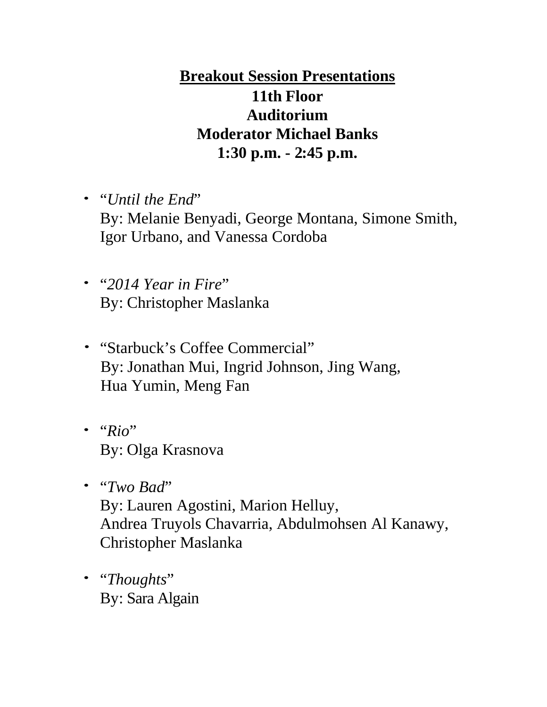# **Breakout Session Presentations 11th Floor Auditorium Moderator Michael Banks 1:30 p.m. - 2:45 p.m.**

- "*Until the End*" By: Melanie Benyadi, George Montana, Simone Smith, Igor Urbano, and Vanessa Cordoba
- "*2014 Year in Fire*" By: Christopher Maslanka
- "Starbuck's Coffee Commercial" By: Jonathan Mui, Ingrid Johnson, Jing Wang, Hua Yumin, Meng Fan
- "*Rio*" By: Olga Krasnova
- "*Two Bad*" By: Lauren Agostini, Marion Helluy, Andrea Truyols Chavarria, Abdulmohsen Al Kanawy, Christopher Maslanka
- "*Thoughts*" By: Sara Algain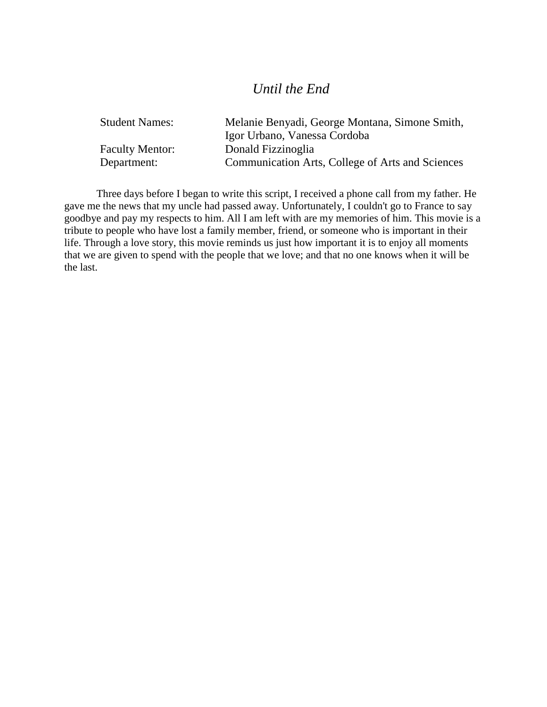#### *Until the End*

| <b>Student Names:</b>  | Melanie Benyadi, George Montana, Simone Smith,   |
|------------------------|--------------------------------------------------|
|                        | Igor Urbano, Vanessa Cordoba                     |
| <b>Faculty Mentor:</b> | Donald Fizzinoglia                               |
| Department:            | Communication Arts, College of Arts and Sciences |

Three days before I began to write this script, I received a phone call from my father. He gave me the news that my uncle had passed away. Unfortunately, I couldn't go to France to say goodbye and pay my respects to him. All I am left with are my memories of him. This movie is a tribute to people who have lost a family member, friend, or someone who is important in their life. Through a love story, this movie reminds us just how important it is to enjoy all moments that we are given to spend with the people that we love; and that no one knows when it will be the last.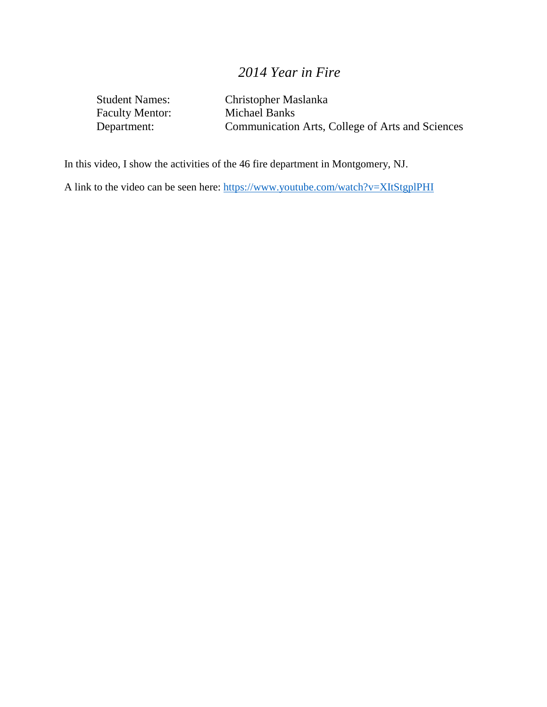## *2014 Year in Fire*

Faculty Mentor:<br>Department:

Student Names: Christopher Maslanka<br>Faculty Mentor: Michael Banks Communication Arts, College of Arts and Sciences

In this video, I show the activities of the 46 fire department in Montgomery, NJ.

A link to the video can be seen here:<https://www.youtube.com/watch?v=XItStgplPHI>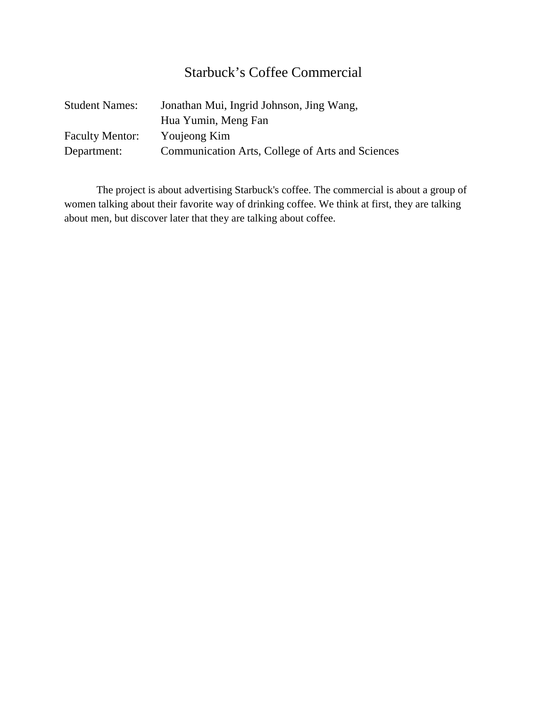## Starbuck's Coffee Commercial

| <b>Student Names:</b>  | Jonathan Mui, Ingrid Johnson, Jing Wang,         |
|------------------------|--------------------------------------------------|
|                        | Hua Yumin, Meng Fan                              |
| <b>Faculty Mentor:</b> | Youjeong Kim                                     |
| Department:            | Communication Arts, College of Arts and Sciences |

The project is about advertising Starbuck's coffee. The commercial is about a group of women talking about their favorite way of drinking coffee. We think at first, they are talking about men, but discover later that they are talking about coffee.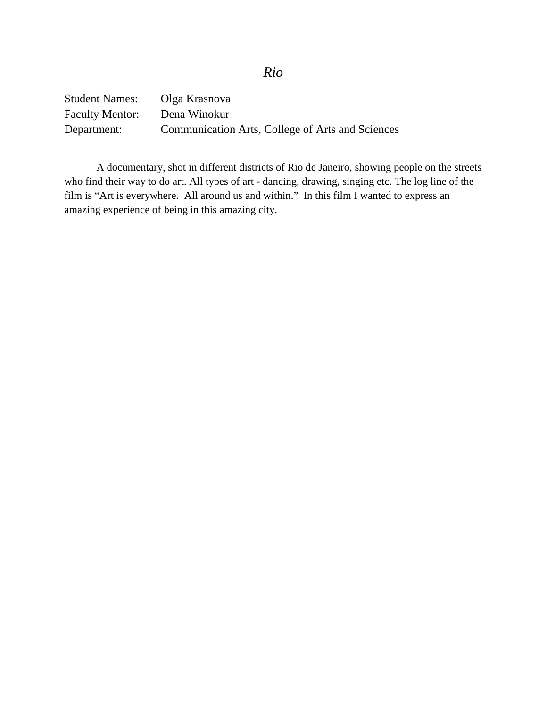| <b>Student Names:</b>  | Olga Krasnova                                    |
|------------------------|--------------------------------------------------|
| <b>Faculty Mentor:</b> | Dena Winokur                                     |
| Department:            | Communication Arts, College of Arts and Sciences |

A documentary, shot in different districts of Rio de Janeiro, showing people on the streets who find their way to do art. All types of art - dancing, drawing, singing etc. The log line of the film is "Art is everywhere. All around us and within." In this film I wanted to express an amazing experience of being in this amazing city.

#### *Rio*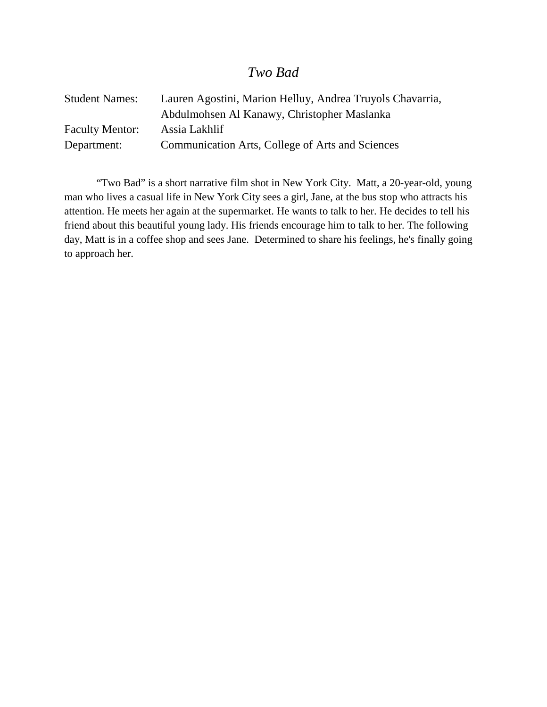#### *Two Bad*

| <b>Student Names:</b>  | Lauren Agostini, Marion Helluy, Andrea Truyols Chavarria, |
|------------------------|-----------------------------------------------------------|
|                        | Abdulmohsen Al Kanawy, Christopher Maslanka               |
| <b>Faculty Mentor:</b> | Assia Lakhlif                                             |
| Department:            | Communication Arts, College of Arts and Sciences          |

"Two Bad" is a short narrative film shot in New York City. Matt, a 20-year-old, young man who lives a casual life in New York City sees a girl, Jane, at the bus stop who attracts his attention. He meets her again at the supermarket. He wants to talk to her. He decides to tell his friend about this beautiful young lady. His friends encourage him to talk to her. The following day, Matt is in a coffee shop and sees Jane. Determined to share his feelings, he's finally going to approach her.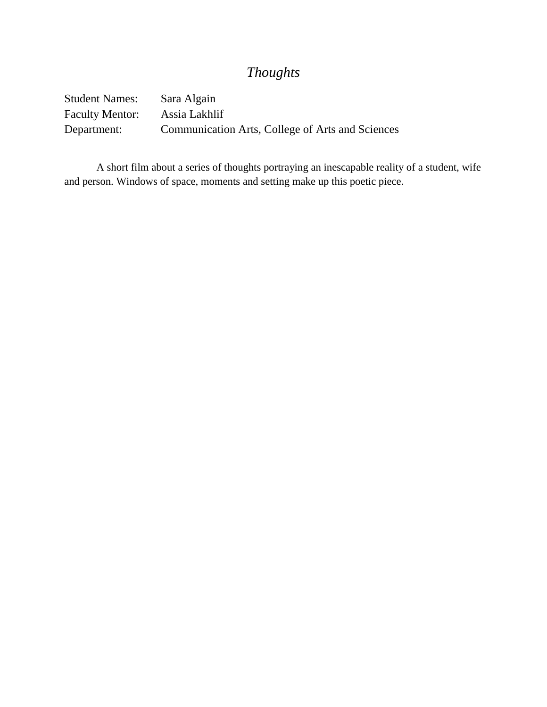## *Thoughts*

Student Names: Sara Algain Faculty Mentor: Assia Lakhlif Department: Communication Arts, College of Arts and Sciences

A short film about a series of thoughts portraying an inescapable reality of a student, wife and person. Windows of space, moments and setting make up this poetic piece.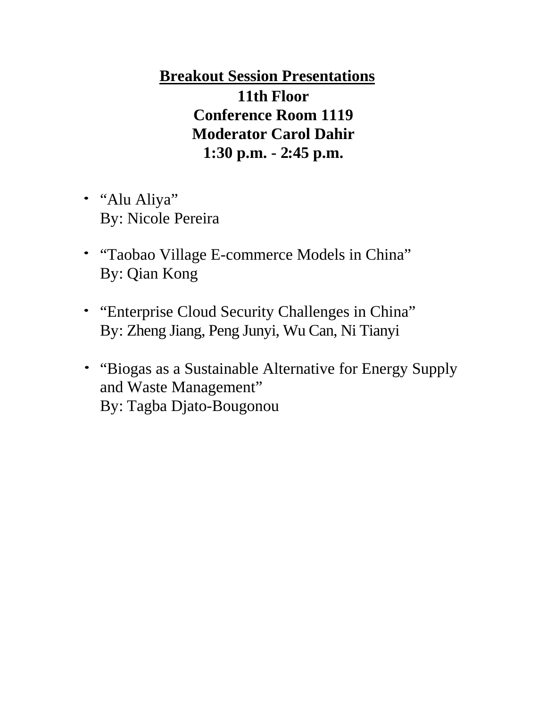**Breakout Session Presentations 11th Floor Conference Room 1119 Moderator Carol Dahir 1:30 p.m. - 2:45 p.m.**

- "Alu Aliya" By: Nicole Pereira
- "Taobao Village E-commerce Models in China" By: Qian Kong
- "Enterprise Cloud Security Challenges in China" By: Zheng Jiang, Peng Junyi, Wu Can, Ni Tianyi
- "Biogas as a Sustainable Alternative for Energy Supply and Waste Management" By: Tagba Djato-Bougonou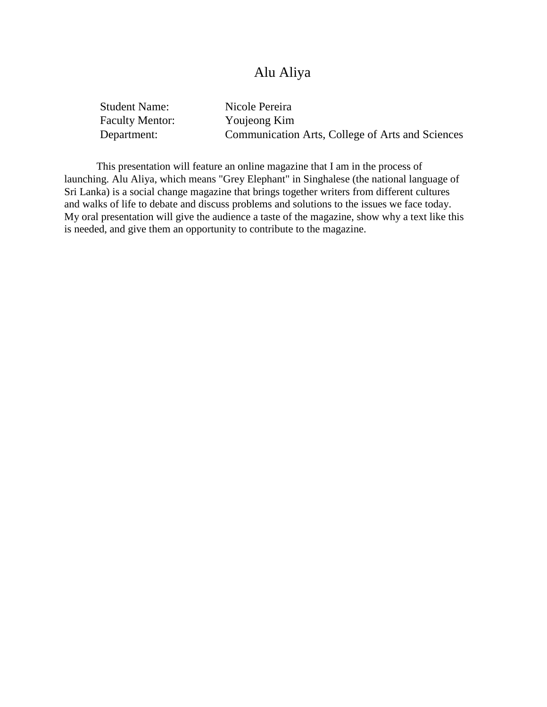## Alu Aliya

| <b>Student Name:</b>   | Nicole Pereira                                   |
|------------------------|--------------------------------------------------|
| <b>Faculty Mentor:</b> | Youjeong Kim                                     |
| Department:            | Communication Arts, College of Arts and Sciences |

This presentation will feature an online magazine that I am in the process of launching. Alu Aliya, which means "Grey Elephant" in Singhalese (the national language of Sri Lanka) is a social change magazine that brings together writers from different cultures and walks of life to debate and discuss problems and solutions to the issues we face today. My oral presentation will give the audience a taste of the magazine, show why a text like this is needed, and give them an opportunity to contribute to the magazine.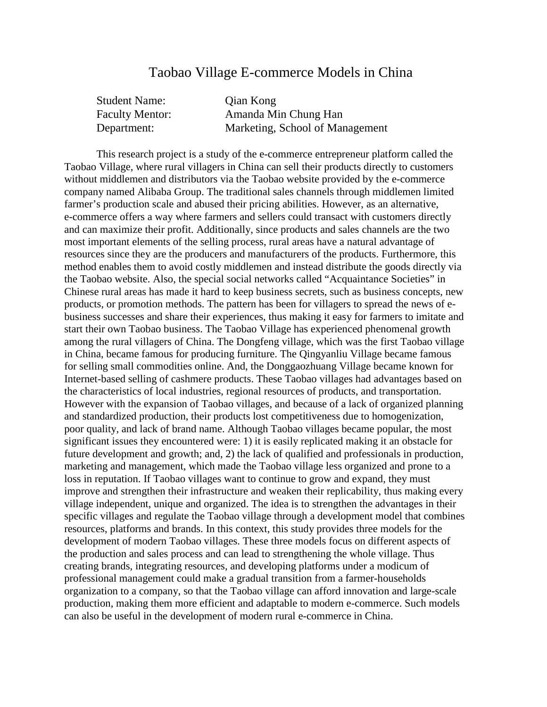#### Taobao Village E-commerce Models in China

| <b>Student Name:</b>   | Qian Kong                       |
|------------------------|---------------------------------|
| <b>Faculty Mentor:</b> | Amanda Min Chung Han            |
| Department:            | Marketing, School of Management |

This research project is a study of the e-commerce entrepreneur platform called the Taobao Village, where rural villagers in China can sell their products directly to customers without middlemen and distributors via the Taobao website provided by the e-commerce company named Alibaba Group. The traditional sales channels through middlemen limited farmer's production scale and abused their pricing abilities. However, as an alternative, e-commerce offers a way where farmers and sellers could transact with customers directly and can maximize their profit. Additionally, since products and sales channels are the two most important elements of the selling process, rural areas have a natural advantage of resources since they are the producers and manufacturers of the products. Furthermore, this method enables them to avoid costly middlemen and instead distribute the goods directly via the Taobao website. Also, the special social networks called "Acquaintance Societies" in Chinese rural areas has made it hard to keep business secrets, such as business concepts, new products, or promotion methods. The pattern has been for villagers to spread the news of ebusiness successes and share their experiences, thus making it easy for farmers to imitate and start their own Taobao business. The Taobao Village has experienced phenomenal growth among the rural villagers of China. The Dongfeng village, which was the first Taobao village in China, became famous for producing furniture. The Qingyanliu Village became famous for selling small commodities online. And, the Donggaozhuang Village became known for Internet-based selling of cashmere products. These Taobao villages had advantages based on the characteristics of local industries, regional resources of products, and transportation. However with the expansion of Taobao villages, and because of a lack of organized planning and standardized production, their products lost competitiveness due to homogenization, poor quality, and lack of brand name. Although Taobao villages became popular, the most significant issues they encountered were: 1) it is easily replicated making it an obstacle for future development and growth; and, 2) the lack of qualified and professionals in production, marketing and management, which made the Taobao village less organized and prone to a loss in reputation. If Taobao villages want to continue to grow and expand, they must improve and strengthen their infrastructure and weaken their replicability, thus making every village independent, unique and organized. The idea is to strengthen the advantages in their specific villages and regulate the Taobao village through a development model that combines resources, platforms and brands. In this context, this study provides three models for the development of modern Taobao villages. These three models focus on different aspects of the production and sales process and can lead to strengthening the whole village. Thus creating brands, integrating resources, and developing platforms under a modicum of professional management could make a gradual transition from a farmer-households organization to a company, so that the Taobao village can afford innovation and large-scale production, making them more efficient and adaptable to modern e-commerce. Such models can also be useful in the development of modern rural e-commerce in China.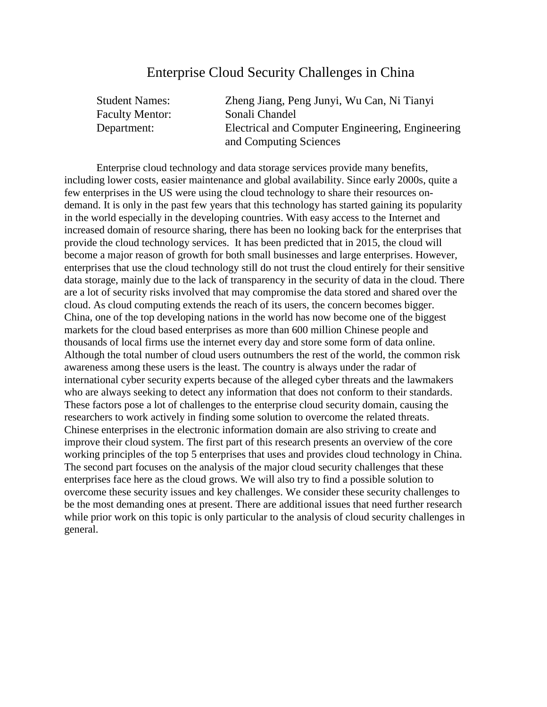#### Enterprise Cloud Security Challenges in China

| <b>Student Names:</b>  | Zheng Jiang, Peng Junyi, Wu Can, Ni Tianyi       |
|------------------------|--------------------------------------------------|
| <b>Faculty Mentor:</b> | Sonali Chandel                                   |
| Department:            | Electrical and Computer Engineering, Engineering |
|                        | and Computing Sciences                           |

Enterprise cloud technology and data storage services provide many benefits, including lower costs, easier maintenance and global availability. Since early 2000s, quite a few enterprises in the US were using the cloud technology to share their resources ondemand. It is only in the past few years that this technology has started gaining its popularity in the world especially in the developing countries. With easy access to the Internet and increased domain of resource sharing, there has been no looking back for the enterprises that provide the cloud technology services. It has been predicted that in 2015, the cloud will become a major reason of growth for both small businesses and large enterprises. However, enterprises that use the cloud technology still do not trust the cloud entirely for their sensitive data storage, mainly due to the lack of transparency in the security of data in the cloud. There are a lot of security risks involved that may compromise the data stored and shared over the cloud. As cloud computing extends the reach of its users, the concern becomes bigger. China, one of the top developing nations in the world has now become one of the biggest markets for the cloud based enterprises as more than 600 million Chinese people and thousands of local firms use the internet every day and store some form of data online. Although the total number of cloud users outnumbers the rest of the world, the common risk awareness among these users is the least. The country is always under the radar of international cyber security experts because of the alleged cyber threats and the lawmakers who are always seeking to detect any information that does not conform to their standards. These factors pose a lot of challenges to the enterprise cloud security domain, causing the researchers to work actively in finding some solution to overcome the related threats. Chinese enterprises in the electronic information domain are also striving to create and improve their cloud system. The first part of this research presents an overview of the core working principles of the top 5 enterprises that uses and provides cloud technology in China. The second part focuses on the analysis of the major cloud security challenges that these enterprises face here as the cloud grows. We will also try to find a possible solution to overcome these security issues and key challenges. We consider these security challenges to be the most demanding ones at present. There are additional issues that need further research while prior work on this topic is only particular to the analysis of cloud security challenges in general.